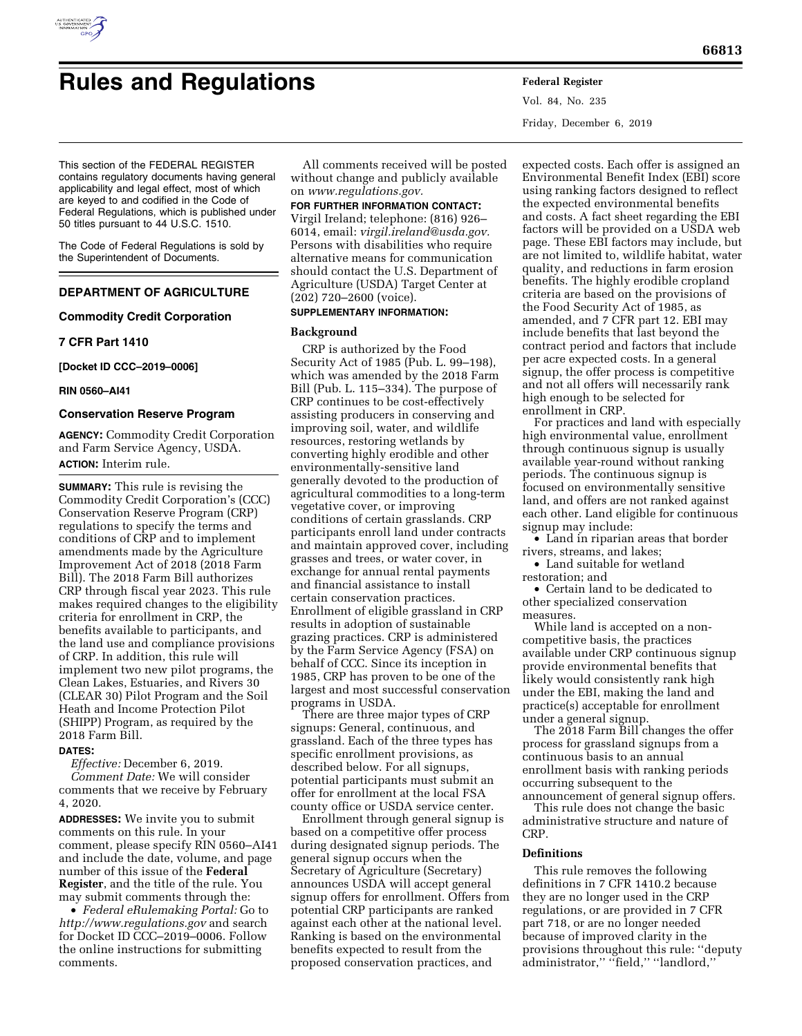

# **Rules and Regulations Federal Register**

Vol. 84, No. 235 Friday, December 6, 2019

This section of the FEDERAL REGISTER contains regulatory documents having general applicability and legal effect, most of which are keyed to and codified in the Code of Federal Regulations, which is published under 50 titles pursuant to 44 U.S.C. 1510.

The Code of Federal Regulations is sold by the Superintendent of Documents.

# **DEPARTMENT OF AGRICULTURE**

## **Commodity Credit Corporation**

## **7 CFR Part 1410**

**[Docket ID CCC–2019–0006]** 

## **RIN 0560–AI41**

## **Conservation Reserve Program**

**AGENCY:** Commodity Credit Corporation and Farm Service Agency, USDA. **ACTION:** Interim rule.

**SUMMARY:** This rule is revising the Commodity Credit Corporation's (CCC) Conservation Reserve Program (CRP) regulations to specify the terms and conditions of CRP and to implement amendments made by the Agriculture Improvement Act of 2018 (2018 Farm Bill). The 2018 Farm Bill authorizes CRP through fiscal year 2023. This rule makes required changes to the eligibility criteria for enrollment in CRP, the benefits available to participants, and the land use and compliance provisions of CRP. In addition, this rule will implement two new pilot programs, the Clean Lakes, Estuaries, and Rivers 30 (CLEAR 30) Pilot Program and the Soil Heath and Income Protection Pilot (SHIPP) Program, as required by the 2018 Farm Bill.

# **DATES:**

*Effective:* December 6, 2019. *Comment Date:* We will consider comments that we receive by February 4, 2020.

**ADDRESSES:** We invite you to submit comments on this rule. In your comment, please specify RIN 0560–AI41 and include the date, volume, and page number of this issue of the **Federal Register**, and the title of the rule. You may submit comments through the:

• *Federal eRulemaking Portal:* Go to *<http://www.regulations.gov>* and search for Docket ID CCC–2019–0006. Follow the online instructions for submitting comments.

All comments received will be posted without change and publicly available on *[www.regulations.gov.](http://www.regulations.gov)* 

# **FOR FURTHER INFORMATION CONTACT:**

Virgil Ireland; telephone: (816) 926– 6014, email: *[virgil.ireland@usda.gov.](mailto:virgil.ireland@usda.gov)*  Persons with disabilities who require alternative means for communication should contact the U.S. Department of Agriculture (USDA) Target Center at (202) 720–2600 (voice).

# **SUPPLEMENTARY INFORMATION:**

## **Background**

CRP is authorized by the Food Security Act of 1985 (Pub. L. 99–198), which was amended by the 2018 Farm Bill (Pub. L. 115–334). The purpose of CRP continues to be cost-effectively assisting producers in conserving and improving soil, water, and wildlife resources, restoring wetlands by converting highly erodible and other environmentally-sensitive land generally devoted to the production of agricultural commodities to a long-term vegetative cover, or improving conditions of certain grasslands. CRP participants enroll land under contracts and maintain approved cover, including grasses and trees, or water cover, in exchange for annual rental payments and financial assistance to install certain conservation practices. Enrollment of eligible grassland in CRP results in adoption of sustainable grazing practices. CRP is administered by the Farm Service Agency (FSA) on behalf of CCC. Since its inception in 1985, CRP has proven to be one of the largest and most successful conservation programs in USDA.

There are three major types of CRP signups: General, continuous, and grassland. Each of the three types has specific enrollment provisions, as described below. For all signups, potential participants must submit an offer for enrollment at the local FSA county office or USDA service center.

Enrollment through general signup is based on a competitive offer process during designated signup periods. The general signup occurs when the Secretary of Agriculture (Secretary) announces USDA will accept general signup offers for enrollment. Offers from potential CRP participants are ranked against each other at the national level. Ranking is based on the environmental benefits expected to result from the proposed conservation practices, and

expected costs. Each offer is assigned an Environmental Benefit Index (EBI) score using ranking factors designed to reflect the expected environmental benefits and costs. A fact sheet regarding the EBI factors will be provided on a USDA web page. These EBI factors may include, but are not limited to, wildlife habitat, water quality, and reductions in farm erosion benefits. The highly erodible cropland criteria are based on the provisions of the Food Security Act of 1985, as amended, and 7 CFR part 12. EBI may include benefits that last beyond the contract period and factors that include per acre expected costs. In a general signup, the offer process is competitive and not all offers will necessarily rank high enough to be selected for enrollment in CRP.

For practices and land with especially high environmental value, enrollment through continuous signup is usually available year-round without ranking periods. The continuous signup is focused on environmentally sensitive land, and offers are not ranked against each other. Land eligible for continuous signup may include:

• Land in riparian areas that border rivers, streams, and lakes;

• Land suitable for wetland restoration; and

• Certain land to be dedicated to other specialized conservation measures.

While land is accepted on a noncompetitive basis, the practices available under CRP continuous signup provide environmental benefits that likely would consistently rank high under the EBI, making the land and practice(s) acceptable for enrollment under a general signup.

The 2018 Farm Bill changes the offer process for grassland signups from a continuous basis to an annual enrollment basis with ranking periods occurring subsequent to the announcement of general signup offers.

This rule does not change the basic administrative structure and nature of CRP.

## **Definitions**

This rule removes the following definitions in 7 CFR 1410.2 because they are no longer used in the CRP regulations, or are provided in 7 CFR part 718, or are no longer needed because of improved clarity in the provisions throughout this rule: ''deputy administrator,'' ''field,'' ''landlord,''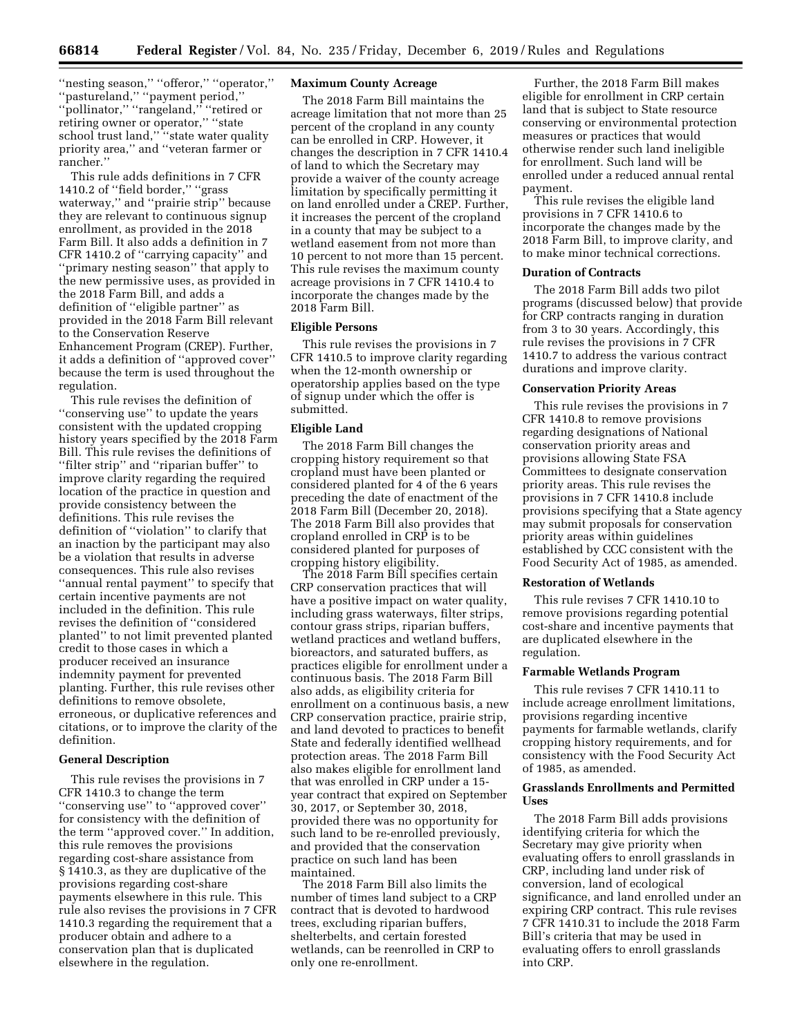''nesting season,'' ''offeror,'' ''operator,'' ''pastureland,'' ''payment period,'' ''pollinator,'' ''rangeland,'' ''retired or retiring owner or operator,'' ''state school trust land," "state water quality priority area,'' and ''veteran farmer or rancher.''

This rule adds definitions in 7 CFR 1410.2 of ''field border,'' ''grass waterway,'' and ''prairie strip'' because they are relevant to continuous signup enrollment, as provided in the 2018 Farm Bill. It also adds a definition in 7 CFR 1410.2 of ''carrying capacity'' and ''primary nesting season'' that apply to the new permissive uses, as provided in the 2018 Farm Bill, and adds a definition of ''eligible partner'' as provided in the 2018 Farm Bill relevant to the Conservation Reserve Enhancement Program (CREP). Further, it adds a definition of ''approved cover'' because the term is used throughout the regulation.

This rule revises the definition of ''conserving use'' to update the years consistent with the updated cropping history years specified by the 2018 Farm Bill. This rule revises the definitions of ''filter strip'' and ''riparian buffer'' to improve clarity regarding the required location of the practice in question and provide consistency between the definitions. This rule revises the definition of ''violation'' to clarify that an inaction by the participant may also be a violation that results in adverse consequences. This rule also revises ''annual rental payment'' to specify that certain incentive payments are not included in the definition. This rule revises the definition of ''considered planted'' to not limit prevented planted credit to those cases in which a producer received an insurance indemnity payment for prevented planting. Further, this rule revises other definitions to remove obsolete, erroneous, or duplicative references and citations, or to improve the clarity of the definition.

# **General Description**

This rule revises the provisions in 7 CFR 1410.3 to change the term ''conserving use'' to ''approved cover'' for consistency with the definition of the term ''approved cover.'' In addition, this rule removes the provisions regarding cost-share assistance from § 1410.3, as they are duplicative of the provisions regarding cost-share payments elsewhere in this rule. This rule also revises the provisions in 7 CFR 1410.3 regarding the requirement that a producer obtain and adhere to a conservation plan that is duplicated elsewhere in the regulation.

## **Maximum County Acreage**

The 2018 Farm Bill maintains the acreage limitation that not more than 25 percent of the cropland in any county can be enrolled in CRP. However, it changes the description in 7 CFR 1410.4 of land to which the Secretary may provide a waiver of the county acreage limitation by specifically permitting it on land enrolled under a CREP. Further, it increases the percent of the cropland in a county that may be subject to a wetland easement from not more than 10 percent to not more than 15 percent. This rule revises the maximum county acreage provisions in 7 CFR 1410.4 to incorporate the changes made by the 2018 Farm Bill.

#### **Eligible Persons**

This rule revises the provisions in 7 CFR 1410.5 to improve clarity regarding when the 12-month ownership or operatorship applies based on the type of signup under which the offer is submitted.

## **Eligible Land**

The 2018 Farm Bill changes the cropping history requirement so that cropland must have been planted or considered planted for 4 of the 6 years preceding the date of enactment of the 2018 Farm Bill (December 20, 2018). The 2018 Farm Bill also provides that cropland enrolled in CRP is to be considered planted for purposes of cropping history eligibility.

The 2018 Farm Bill specifies certain CRP conservation practices that will have a positive impact on water quality, including grass waterways, filter strips, contour grass strips, riparian buffers, wetland practices and wetland buffers, bioreactors, and saturated buffers, as practices eligible for enrollment under a continuous basis. The 2018 Farm Bill also adds, as eligibility criteria for enrollment on a continuous basis, a new CRP conservation practice, prairie strip, and land devoted to practices to benefit State and federally identified wellhead protection areas. The 2018 Farm Bill also makes eligible for enrollment land that was enrolled in CRP under a 15 year contract that expired on September 30, 2017, or September 30, 2018, provided there was no opportunity for such land to be re-enrolled previously, and provided that the conservation practice on such land has been maintained.

The 2018 Farm Bill also limits the number of times land subject to a CRP contract that is devoted to hardwood trees, excluding riparian buffers, shelterbelts, and certain forested wetlands, can be reenrolled in CRP to only one re-enrollment.

Further, the 2018 Farm Bill makes eligible for enrollment in CRP certain land that is subject to State resource conserving or environmental protection measures or practices that would otherwise render such land ineligible for enrollment. Such land will be enrolled under a reduced annual rental payment.

This rule revises the eligible land provisions in 7 CFR 1410.6 to incorporate the changes made by the 2018 Farm Bill, to improve clarity, and to make minor technical corrections.

## **Duration of Contracts**

The 2018 Farm Bill adds two pilot programs (discussed below) that provide for CRP contracts ranging in duration from 3 to 30 years. Accordingly, this rule revises the provisions in 7 CFR 1410.7 to address the various contract durations and improve clarity.

#### **Conservation Priority Areas**

This rule revises the provisions in 7 CFR 1410.8 to remove provisions regarding designations of National conservation priority areas and provisions allowing State FSA Committees to designate conservation priority areas. This rule revises the provisions in 7 CFR 1410.8 include provisions specifying that a State agency may submit proposals for conservation priority areas within guidelines established by CCC consistent with the Food Security Act of 1985, as amended.

## **Restoration of Wetlands**

This rule revises 7 CFR 1410.10 to remove provisions regarding potential cost-share and incentive payments that are duplicated elsewhere in the regulation.

#### **Farmable Wetlands Program**

This rule revises 7 CFR 1410.11 to include acreage enrollment limitations, provisions regarding incentive payments for farmable wetlands, clarify cropping history requirements, and for consistency with the Food Security Act of 1985, as amended.

## **Grasslands Enrollments and Permitted Uses**

The 2018 Farm Bill adds provisions identifying criteria for which the Secretary may give priority when evaluating offers to enroll grasslands in CRP, including land under risk of conversion, land of ecological significance, and land enrolled under an expiring CRP contract. This rule revises 7 CFR 1410.31 to include the 2018 Farm Bill's criteria that may be used in evaluating offers to enroll grasslands into CRP.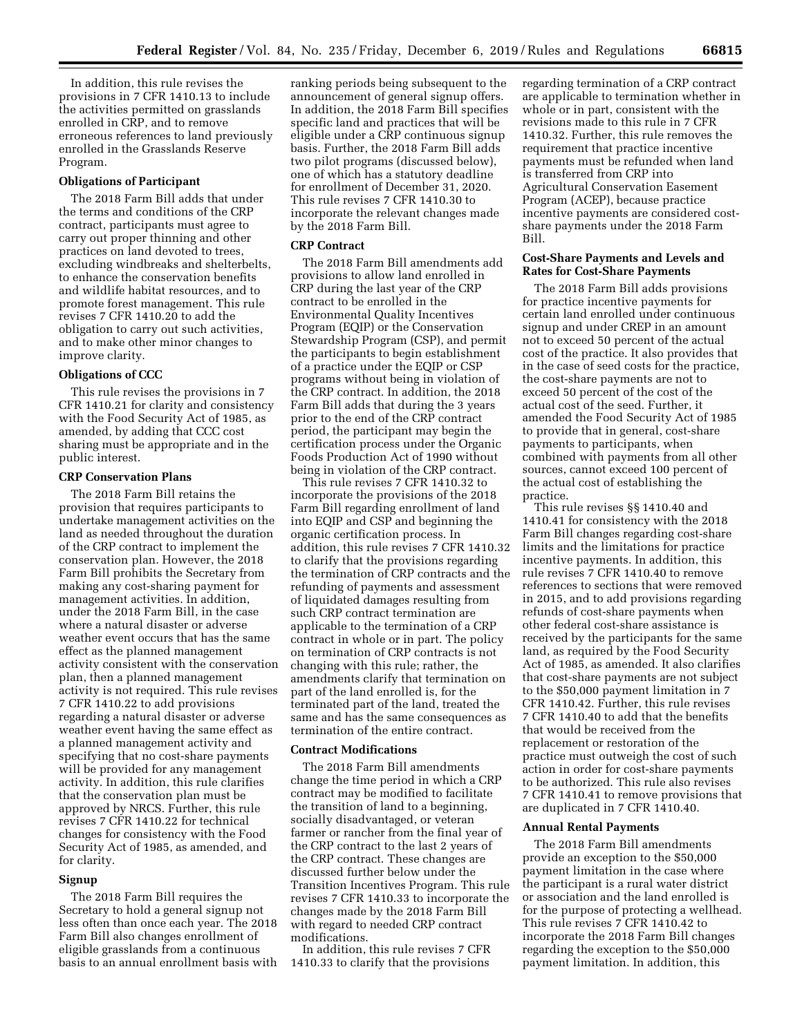In addition, this rule revises the provisions in 7 CFR 1410.13 to include the activities permitted on grasslands enrolled in CRP, and to remove erroneous references to land previously enrolled in the Grasslands Reserve Program.

#### **Obligations of Participant**

The 2018 Farm Bill adds that under the terms and conditions of the CRP contract, participants must agree to carry out proper thinning and other practices on land devoted to trees, excluding windbreaks and shelterbelts, to enhance the conservation benefits and wildlife habitat resources, and to promote forest management. This rule revises 7 CFR 1410.20 to add the obligation to carry out such activities, and to make other minor changes to improve clarity.

## **Obligations of CCC**

This rule revises the provisions in 7 CFR 1410.21 for clarity and consistency with the Food Security Act of 1985, as amended, by adding that CCC cost sharing must be appropriate and in the public interest.

## **CRP Conservation Plans**

The 2018 Farm Bill retains the provision that requires participants to undertake management activities on the land as needed throughout the duration of the CRP contract to implement the conservation plan. However, the 2018 Farm Bill prohibits the Secretary from making any cost-sharing payment for management activities. In addition, under the 2018 Farm Bill, in the case where a natural disaster or adverse weather event occurs that has the same effect as the planned management activity consistent with the conservation plan, then a planned management activity is not required. This rule revises 7 CFR 1410.22 to add provisions regarding a natural disaster or adverse weather event having the same effect as a planned management activity and specifying that no cost-share payments will be provided for any management activity. In addition, this rule clarifies that the conservation plan must be approved by NRCS. Further, this rule revises 7 CFR 1410.22 for technical changes for consistency with the Food Security Act of 1985, as amended, and for clarity.

#### **Signup**

The 2018 Farm Bill requires the Secretary to hold a general signup not less often than once each year. The 2018 Farm Bill also changes enrollment of eligible grasslands from a continuous basis to an annual enrollment basis with ranking periods being subsequent to the announcement of general signup offers. In addition, the 2018 Farm Bill specifies specific land and practices that will be eligible under a CRP continuous signup basis. Further, the 2018 Farm Bill adds two pilot programs (discussed below), one of which has a statutory deadline for enrollment of December 31, 2020. This rule revises 7 CFR 1410.30 to incorporate the relevant changes made by the 2018 Farm Bill.

## **CRP Contract**

The 2018 Farm Bill amendments add provisions to allow land enrolled in CRP during the last year of the CRP contract to be enrolled in the Environmental Quality Incentives Program (EQIP) or the Conservation Stewardship Program (CSP), and permit the participants to begin establishment of a practice under the EQIP or CSP programs without being in violation of the CRP contract. In addition, the 2018 Farm Bill adds that during the 3 years prior to the end of the CRP contract period, the participant may begin the certification process under the Organic Foods Production Act of 1990 without being in violation of the CRP contract.

This rule revises 7 CFR 1410.32 to incorporate the provisions of the 2018 Farm Bill regarding enrollment of land into EQIP and CSP and beginning the organic certification process. In addition, this rule revises 7 CFR 1410.32 to clarify that the provisions regarding the termination of CRP contracts and the refunding of payments and assessment of liquidated damages resulting from such CRP contract termination are applicable to the termination of a CRP contract in whole or in part. The policy on termination of CRP contracts is not changing with this rule; rather, the amendments clarify that termination on part of the land enrolled is, for the terminated part of the land, treated the same and has the same consequences as termination of the entire contract.

## **Contract Modifications**

The 2018 Farm Bill amendments change the time period in which a CRP contract may be modified to facilitate the transition of land to a beginning, socially disadvantaged, or veteran farmer or rancher from the final year of the CRP contract to the last 2 years of the CRP contract. These changes are discussed further below under the Transition Incentives Program. This rule revises 7 CFR 1410.33 to incorporate the changes made by the 2018 Farm Bill with regard to needed CRP contract modifications.

In addition, this rule revises 7 CFR 1410.33 to clarify that the provisions regarding termination of a CRP contract are applicable to termination whether in whole or in part, consistent with the revisions made to this rule in 7 CFR 1410.32. Further, this rule removes the requirement that practice incentive payments must be refunded when land is transferred from CRP into Agricultural Conservation Easement Program (ACEP), because practice incentive payments are considered costshare payments under the 2018 Farm Bill.

## **Cost-Share Payments and Levels and Rates for Cost-Share Payments**

The 2018 Farm Bill adds provisions for practice incentive payments for certain land enrolled under continuous signup and under CREP in an amount not to exceed 50 percent of the actual cost of the practice. It also provides that in the case of seed costs for the practice, the cost-share payments are not to exceed 50 percent of the cost of the actual cost of the seed. Further, it amended the Food Security Act of 1985 to provide that in general, cost-share payments to participants, when combined with payments from all other sources, cannot exceed 100 percent of the actual cost of establishing the practice.

This rule revises §§ 1410.40 and 1410.41 for consistency with the 2018 Farm Bill changes regarding cost-share limits and the limitations for practice incentive payments. In addition, this rule revises 7 CFR 1410.40 to remove references to sections that were removed in 2015, and to add provisions regarding refunds of cost-share payments when other federal cost-share assistance is received by the participants for the same land, as required by the Food Security Act of 1985, as amended. It also clarifies that cost-share payments are not subject to the \$50,000 payment limitation in 7 CFR 1410.42. Further, this rule revises 7 CFR 1410.40 to add that the benefits that would be received from the replacement or restoration of the practice must outweigh the cost of such action in order for cost-share payments to be authorized. This rule also revises 7 CFR 1410.41 to remove provisions that are duplicated in 7 CFR 1410.40.

## **Annual Rental Payments**

The 2018 Farm Bill amendments provide an exception to the \$50,000 payment limitation in the case where the participant is a rural water district or association and the land enrolled is for the purpose of protecting a wellhead. This rule revises 7 CFR 1410.42 to incorporate the 2018 Farm Bill changes regarding the exception to the \$50,000 payment limitation. In addition, this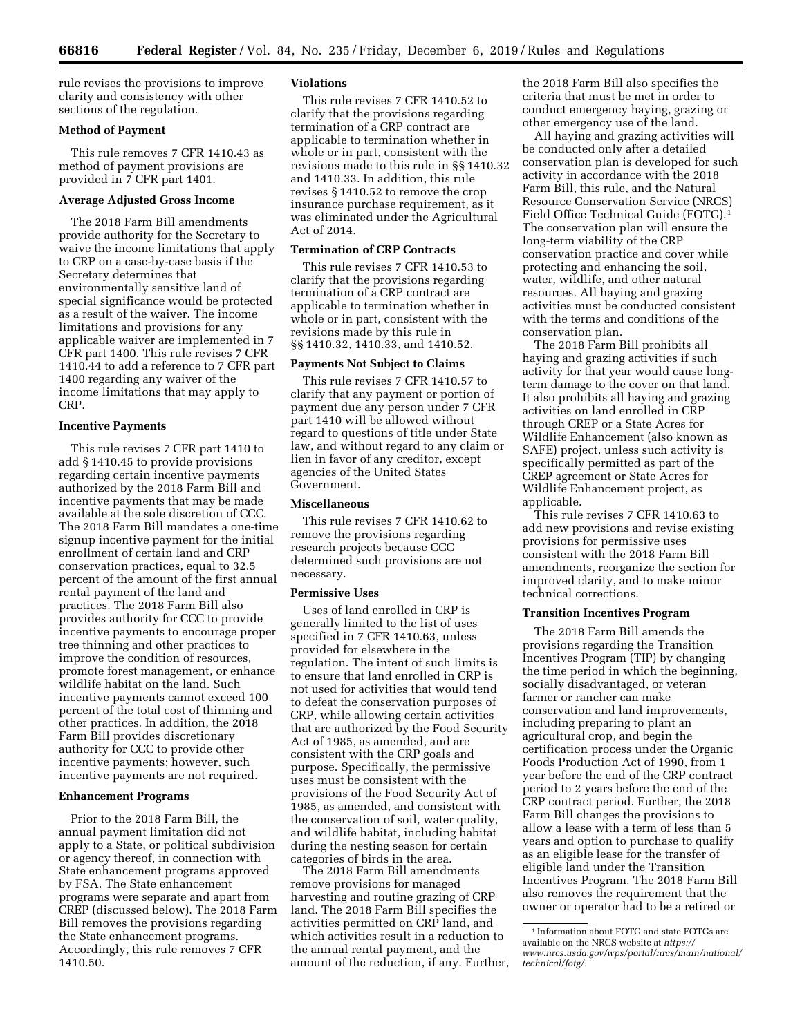rule revises the provisions to improve clarity and consistency with other sections of the regulation.

## **Method of Payment**

This rule removes 7 CFR 1410.43 as method of payment provisions are provided in 7 CFR part 1401.

## **Average Adjusted Gross Income**

The 2018 Farm Bill amendments provide authority for the Secretary to waive the income limitations that apply to CRP on a case-by-case basis if the Secretary determines that environmentally sensitive land of special significance would be protected as a result of the waiver. The income limitations and provisions for any applicable waiver are implemented in 7 CFR part 1400. This rule revises 7 CFR 1410.44 to add a reference to 7 CFR part 1400 regarding any waiver of the income limitations that may apply to CRP.

## **Incentive Payments**

This rule revises 7 CFR part 1410 to add § 1410.45 to provide provisions regarding certain incentive payments authorized by the 2018 Farm Bill and incentive payments that may be made available at the sole discretion of CCC. The 2018 Farm Bill mandates a one-time signup incentive payment for the initial enrollment of certain land and CRP conservation practices, equal to 32.5 percent of the amount of the first annual rental payment of the land and practices. The 2018 Farm Bill also provides authority for CCC to provide incentive payments to encourage proper tree thinning and other practices to improve the condition of resources, promote forest management, or enhance wildlife habitat on the land. Such incentive payments cannot exceed 100 percent of the total cost of thinning and other practices. In addition, the 2018 Farm Bill provides discretionary authority for CCC to provide other incentive payments; however, such incentive payments are not required.

## **Enhancement Programs**

Prior to the 2018 Farm Bill, the annual payment limitation did not apply to a State, or political subdivision or agency thereof, in connection with State enhancement programs approved by FSA. The State enhancement programs were separate and apart from CREP (discussed below). The 2018 Farm Bill removes the provisions regarding the State enhancement programs. Accordingly, this rule removes 7 CFR 1410.50.

## **Violations**

This rule revises 7 CFR 1410.52 to clarify that the provisions regarding termination of a CRP contract are applicable to termination whether in whole or in part, consistent with the revisions made to this rule in §§ 1410.32 and 1410.33. In addition, this rule revises § 1410.52 to remove the crop insurance purchase requirement, as it was eliminated under the Agricultural Act of 2014.

# **Termination of CRP Contracts**

This rule revises 7 CFR 1410.53 to clarify that the provisions regarding termination of a CRP contract are applicable to termination whether in whole or in part, consistent with the revisions made by this rule in §§ 1410.32, 1410.33, and 1410.52.

#### **Payments Not Subject to Claims**

This rule revises 7 CFR 1410.57 to clarify that any payment or portion of payment due any person under 7 CFR part 1410 will be allowed without regard to questions of title under State law, and without regard to any claim or lien in favor of any creditor, except agencies of the United States Government.

#### **Miscellaneous**

This rule revises 7 CFR 1410.62 to remove the provisions regarding research projects because CCC determined such provisions are not necessary.

#### **Permissive Uses**

Uses of land enrolled in CRP is generally limited to the list of uses specified in 7 CFR 1410.63, unless provided for elsewhere in the regulation. The intent of such limits is to ensure that land enrolled in CRP is not used for activities that would tend to defeat the conservation purposes of CRP, while allowing certain activities that are authorized by the Food Security Act of 1985, as amended, and are consistent with the CRP goals and purpose. Specifically, the permissive uses must be consistent with the provisions of the Food Security Act of 1985, as amended, and consistent with the conservation of soil, water quality, and wildlife habitat, including habitat during the nesting season for certain categories of birds in the area.

The 2018 Farm Bill amendments remove provisions for managed harvesting and routine grazing of CRP land. The 2018 Farm Bill specifies the activities permitted on CRP land, and which activities result in a reduction to the annual rental payment, and the amount of the reduction, if any. Further, the 2018 Farm Bill also specifies the criteria that must be met in order to conduct emergency haying, grazing or other emergency use of the land.

All haying and grazing activities will be conducted only after a detailed conservation plan is developed for such activity in accordance with the 2018 Farm Bill, this rule, and the Natural Resource Conservation Service (NRCS) Field Office Technical Guide (FOTG).1 The conservation plan will ensure the long-term viability of the CRP conservation practice and cover while protecting and enhancing the soil, water, wildlife, and other natural resources. All haying and grazing activities must be conducted consistent with the terms and conditions of the conservation plan.

The 2018 Farm Bill prohibits all haying and grazing activities if such activity for that year would cause longterm damage to the cover on that land. It also prohibits all haying and grazing activities on land enrolled in CRP through CREP or a State Acres for Wildlife Enhancement (also known as SAFE) project, unless such activity is specifically permitted as part of the CREP agreement or State Acres for Wildlife Enhancement project, as applicable.

This rule revises 7 CFR 1410.63 to add new provisions and revise existing provisions for permissive uses consistent with the 2018 Farm Bill amendments, reorganize the section for improved clarity, and to make minor technical corrections.

## **Transition Incentives Program**

The 2018 Farm Bill amends the provisions regarding the Transition Incentives Program (TIP) by changing the time period in which the beginning, socially disadvantaged, or veteran farmer or rancher can make conservation and land improvements, including preparing to plant an agricultural crop, and begin the certification process under the Organic Foods Production Act of 1990, from 1 year before the end of the CRP contract period to 2 years before the end of the CRP contract period. Further, the 2018 Farm Bill changes the provisions to allow a lease with a term of less than 5 years and option to purchase to qualify as an eligible lease for the transfer of eligible land under the Transition Incentives Program. The 2018 Farm Bill also removes the requirement that the owner or operator had to be a retired or

<sup>1</sup> Information about FOTG and state FOTGs are available on the NRCS website at *[https://](https://www.nrcs.usda.gov/wps/portal/nrcs/main/national/technical/fotg/) [www.nrcs.usda.gov/wps/portal/nrcs/main/national/](https://www.nrcs.usda.gov/wps/portal/nrcs/main/national/technical/fotg/) [technical/fotg/.](https://www.nrcs.usda.gov/wps/portal/nrcs/main/national/technical/fotg/)*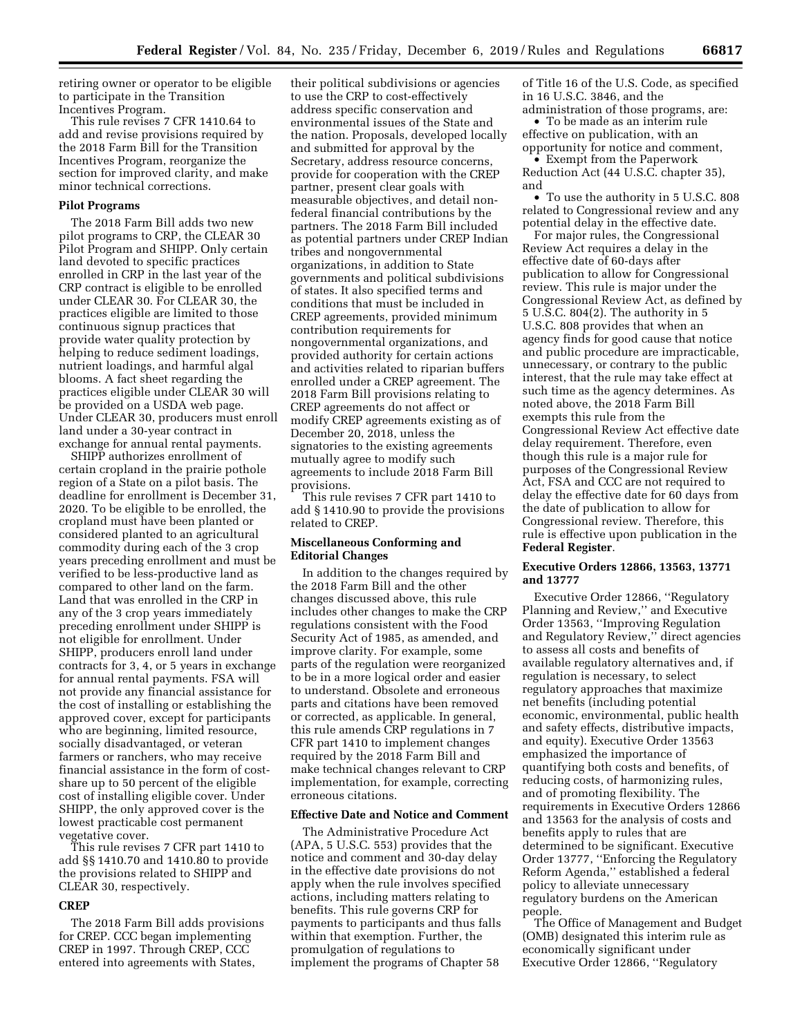retiring owner or operator to be eligible to participate in the Transition Incentives Program.

This rule revises 7 CFR 1410.64 to add and revise provisions required by the 2018 Farm Bill for the Transition Incentives Program, reorganize the section for improved clarity, and make minor technical corrections.

## **Pilot Programs**

The 2018 Farm Bill adds two new pilot programs to CRP, the CLEAR 30 Pilot Program and SHIPP. Only certain land devoted to specific practices enrolled in CRP in the last year of the CRP contract is eligible to be enrolled under CLEAR 30. For CLEAR 30, the practices eligible are limited to those continuous signup practices that provide water quality protection by helping to reduce sediment loadings, nutrient loadings, and harmful algal blooms. A fact sheet regarding the practices eligible under CLEAR 30 will be provided on a USDA web page. Under CLEAR 30, producers must enroll land under a 30-year contract in exchange for annual rental payments.

SHIPP authorizes enrollment of certain cropland in the prairie pothole region of a State on a pilot basis. The deadline for enrollment is December 31, 2020. To be eligible to be enrolled, the cropland must have been planted or considered planted to an agricultural commodity during each of the 3 crop years preceding enrollment and must be verified to be less-productive land as compared to other land on the farm. Land that was enrolled in the CRP in any of the 3 crop years immediately preceding enrollment under SHIPP is not eligible for enrollment. Under SHIPP, producers enroll land under contracts for 3, 4, or 5 years in exchange for annual rental payments. FSA will not provide any financial assistance for the cost of installing or establishing the approved cover, except for participants who are beginning, limited resource, socially disadvantaged, or veteran farmers or ranchers, who may receive financial assistance in the form of costshare up to 50 percent of the eligible cost of installing eligible cover. Under SHIPP, the only approved cover is the lowest practicable cost permanent vegetative cover.

This rule revises 7 CFR part 1410 to add §§ 1410.70 and 1410.80 to provide the provisions related to SHIPP and CLEAR 30, respectively.

## **CREP**

The 2018 Farm Bill adds provisions for CREP. CCC began implementing CREP in 1997. Through CREP, CCC entered into agreements with States,

their political subdivisions or agencies to use the CRP to cost-effectively address specific conservation and environmental issues of the State and the nation. Proposals, developed locally and submitted for approval by the Secretary, address resource concerns, provide for cooperation with the CREP partner, present clear goals with measurable objectives, and detail nonfederal financial contributions by the partners. The 2018 Farm Bill included as potential partners under CREP Indian tribes and nongovernmental organizations, in addition to State governments and political subdivisions of states. It also specified terms and conditions that must be included in CREP agreements, provided minimum contribution requirements for nongovernmental organizations, and provided authority for certain actions and activities related to riparian buffers enrolled under a CREP agreement. The 2018 Farm Bill provisions relating to CREP agreements do not affect or modify CREP agreements existing as of December 20, 2018, unless the signatories to the existing agreements mutually agree to modify such agreements to include 2018 Farm Bill provisions.

This rule revises 7 CFR part 1410 to add § 1410.90 to provide the provisions related to CREP.

## **Miscellaneous Conforming and Editorial Changes**

In addition to the changes required by the 2018 Farm Bill and the other changes discussed above, this rule includes other changes to make the CRP regulations consistent with the Food Security Act of 1985, as amended, and improve clarity. For example, some parts of the regulation were reorganized to be in a more logical order and easier to understand. Obsolete and erroneous parts and citations have been removed or corrected, as applicable. In general, this rule amends CRP regulations in 7 CFR part 1410 to implement changes required by the 2018 Farm Bill and make technical changes relevant to CRP implementation, for example, correcting erroneous citations.

## **Effective Date and Notice and Comment**

The Administrative Procedure Act (APA, 5 U.S.C. 553) provides that the notice and comment and 30-day delay in the effective date provisions do not apply when the rule involves specified actions, including matters relating to benefits. This rule governs CRP for payments to participants and thus falls within that exemption. Further, the promulgation of regulations to implement the programs of Chapter 58

of Title 16 of the U.S. Code, as specified in 16 U.S.C. 3846, and the

administration of those programs, are: • To be made as an interim rule effective on publication, with an opportunity for notice and comment,

• Exempt from the Paperwork Reduction Act (44 U.S.C. chapter 35), and

• To use the authority in 5 U.S.C. 808 related to Congressional review and any potential delay in the effective date.

For major rules, the Congressional Review Act requires a delay in the effective date of 60-days after publication to allow for Congressional review. This rule is major under the Congressional Review Act, as defined by 5 U.S.C. 804(2). The authority in 5 U.S.C. 808 provides that when an agency finds for good cause that notice and public procedure are impracticable, unnecessary, or contrary to the public interest, that the rule may take effect at such time as the agency determines. As noted above, the 2018 Farm Bill exempts this rule from the Congressional Review Act effective date delay requirement. Therefore, even though this rule is a major rule for purposes of the Congressional Review Act, FSA and CCC are not required to delay the effective date for 60 days from the date of publication to allow for Congressional review. Therefore, this rule is effective upon publication in the **Federal Register**.

## **Executive Orders 12866, 13563, 13771 and 13777**

Executive Order 12866, ''Regulatory Planning and Review,'' and Executive Order 13563, ''Improving Regulation and Regulatory Review,'' direct agencies to assess all costs and benefits of available regulatory alternatives and, if regulation is necessary, to select regulatory approaches that maximize net benefits (including potential economic, environmental, public health and safety effects, distributive impacts, and equity). Executive Order 13563 emphasized the importance of quantifying both costs and benefits, of reducing costs, of harmonizing rules, and of promoting flexibility. The requirements in Executive Orders 12866 and 13563 for the analysis of costs and benefits apply to rules that are determined to be significant. Executive Order 13777, ''Enforcing the Regulatory Reform Agenda,'' established a federal policy to alleviate unnecessary regulatory burdens on the American people.

The Office of Management and Budget (OMB) designated this interim rule as economically significant under Executive Order 12866, ''Regulatory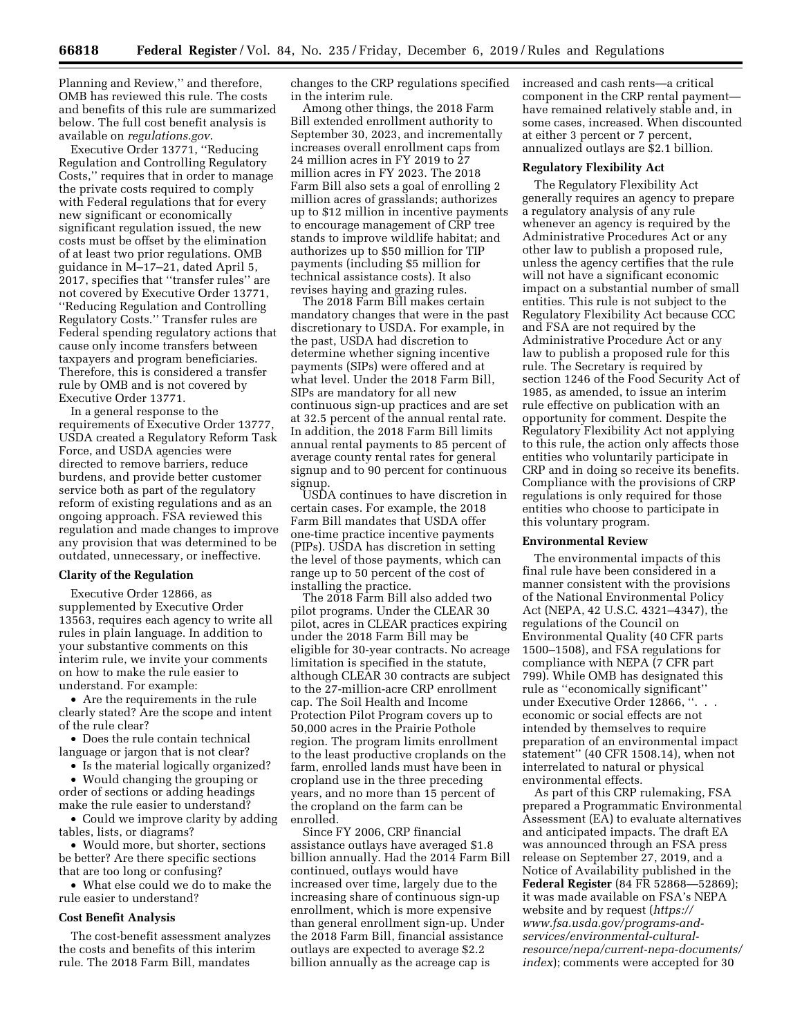Planning and Review,'' and therefore, OMB has reviewed this rule. The costs and benefits of this rule are summarized below. The full cost benefit analysis is available on *regulations.gov*.

Executive Order 13771, ''Reducing Regulation and Controlling Regulatory Costs,'' requires that in order to manage the private costs required to comply with Federal regulations that for every new significant or economically significant regulation issued, the new costs must be offset by the elimination of at least two prior regulations. OMB guidance in M–17–21, dated April 5, 2017, specifies that ''transfer rules'' are not covered by Executive Order 13771, ''Reducing Regulation and Controlling Regulatory Costs.'' Transfer rules are Federal spending regulatory actions that cause only income transfers between taxpayers and program beneficiaries. Therefore, this is considered a transfer rule by OMB and is not covered by Executive Order 13771.

In a general response to the requirements of Executive Order 13777, USDA created a Regulatory Reform Task Force, and USDA agencies were directed to remove barriers, reduce burdens, and provide better customer service both as part of the regulatory reform of existing regulations and as an ongoing approach. FSA reviewed this regulation and made changes to improve any provision that was determined to be outdated, unnecessary, or ineffective.

#### **Clarity of the Regulation**

Executive Order 12866, as supplemented by Executive Order 13563, requires each agency to write all rules in plain language. In addition to your substantive comments on this interim rule, we invite your comments on how to make the rule easier to understand. For example:

• Are the requirements in the rule clearly stated? Are the scope and intent of the rule clear?

• Does the rule contain technical language or jargon that is not clear?

• Is the material logically organized? • Would changing the grouping or

order of sections or adding headings make the rule easier to understand? • Could we improve clarity by adding

tables, lists, or diagrams?

• Would more, but shorter, sections be better? Are there specific sections that are too long or confusing?

• What else could we do to make the rule easier to understand?

## **Cost Benefit Analysis**

The cost-benefit assessment analyzes the costs and benefits of this interim rule. The 2018 Farm Bill, mandates

changes to the CRP regulations specified in the interim rule.

Among other things, the 2018 Farm Bill extended enrollment authority to September 30, 2023, and incrementally increases overall enrollment caps from 24 million acres in FY 2019 to 27 million acres in FY 2023. The 2018 Farm Bill also sets a goal of enrolling 2 million acres of grasslands; authorizes up to \$12 million in incentive payments to encourage management of CRP tree stands to improve wildlife habitat; and authorizes up to \$50 million for TIP payments (including \$5 million for technical assistance costs). It also revises haying and grazing rules.

The 2018 Farm Bill makes certain mandatory changes that were in the past discretionary to USDA. For example, in the past, USDA had discretion to determine whether signing incentive payments (SIPs) were offered and at what level. Under the 2018 Farm Bill, SIPs are mandatory for all new continuous sign-up practices and are set at 32.5 percent of the annual rental rate. In addition, the 2018 Farm Bill limits annual rental payments to 85 percent of average county rental rates for general signup and to 90 percent for continuous signup.

USDA continues to have discretion in certain cases. For example, the 2018 Farm Bill mandates that USDA offer one-time practice incentive payments (PIPs). USDA has discretion in setting the level of those payments, which can range up to 50 percent of the cost of installing the practice.

The 2018 Farm Bill also added two pilot programs. Under the CLEAR 30 pilot, acres in CLEAR practices expiring under the 2018 Farm Bill may be eligible for 30-year contracts. No acreage limitation is specified in the statute, although CLEAR 30 contracts are subject to the 27-million-acre CRP enrollment cap. The Soil Health and Income Protection Pilot Program covers up to 50,000 acres in the Prairie Pothole region. The program limits enrollment to the least productive croplands on the farm, enrolled lands must have been in cropland use in the three preceding years, and no more than 15 percent of the cropland on the farm can be enrolled.

Since FY 2006, CRP financial assistance outlays have averaged \$1.8 billion annually. Had the 2014 Farm Bill continued, outlays would have increased over time, largely due to the increasing share of continuous sign-up enrollment, which is more expensive than general enrollment sign-up. Under the 2018 Farm Bill, financial assistance outlays are expected to average \$2.2 billion annually as the acreage cap is

increased and cash rents—a critical component in the CRP rental payment have remained relatively stable and, in some cases, increased. When discounted at either 3 percent or 7 percent, annualized outlays are \$2.1 billion.

#### **Regulatory Flexibility Act**

The Regulatory Flexibility Act generally requires an agency to prepare a regulatory analysis of any rule whenever an agency is required by the Administrative Procedures Act or any other law to publish a proposed rule, unless the agency certifies that the rule will not have a significant economic impact on a substantial number of small entities. This rule is not subject to the Regulatory Flexibility Act because CCC and FSA are not required by the Administrative Procedure Act or any law to publish a proposed rule for this rule. The Secretary is required by section 1246 of the Food Security Act of 1985, as amended, to issue an interim rule effective on publication with an opportunity for comment. Despite the Regulatory Flexibility Act not applying to this rule, the action only affects those entities who voluntarily participate in CRP and in doing so receive its benefits. Compliance with the provisions of CRP regulations is only required for those entities who choose to participate in this voluntary program.

#### **Environmental Review**

The environmental impacts of this final rule have been considered in a manner consistent with the provisions of the National Environmental Policy Act (NEPA, 42 U.S.C. 4321–4347), the regulations of the Council on Environmental Quality (40 CFR parts 1500–1508), and FSA regulations for compliance with NEPA (7 CFR part 799). While OMB has designated this rule as ''economically significant'' under Executive Order 12866, ". . . economic or social effects are not intended by themselves to require preparation of an environmental impact statement'' (40 CFR 1508.14), when not interrelated to natural or physical environmental effects.

As part of this CRP rulemaking, FSA prepared a Programmatic Environmental Assessment (EA) to evaluate alternatives and anticipated impacts. The draft EA was announced through an FSA press release on September 27, 2019, and a Notice of Availability published in the **Federal Register** (84 FR 52868—52869); it was made available on FSA's NEPA website and by request (*[https://](https://www.fsa.usda.gov/programs-and-services/environmental-cultural-resource/nepa/current-nepa-documents/index) [www.fsa.usda.gov/programs-and](https://www.fsa.usda.gov/programs-and-services/environmental-cultural-resource/nepa/current-nepa-documents/index)services/environmental-cultural[resource/nepa/current-nepa-documents/](https://www.fsa.usda.gov/programs-and-services/environmental-cultural-resource/nepa/current-nepa-documents/index)  [index](https://www.fsa.usda.gov/programs-and-services/environmental-cultural-resource/nepa/current-nepa-documents/index)*); comments were accepted for 30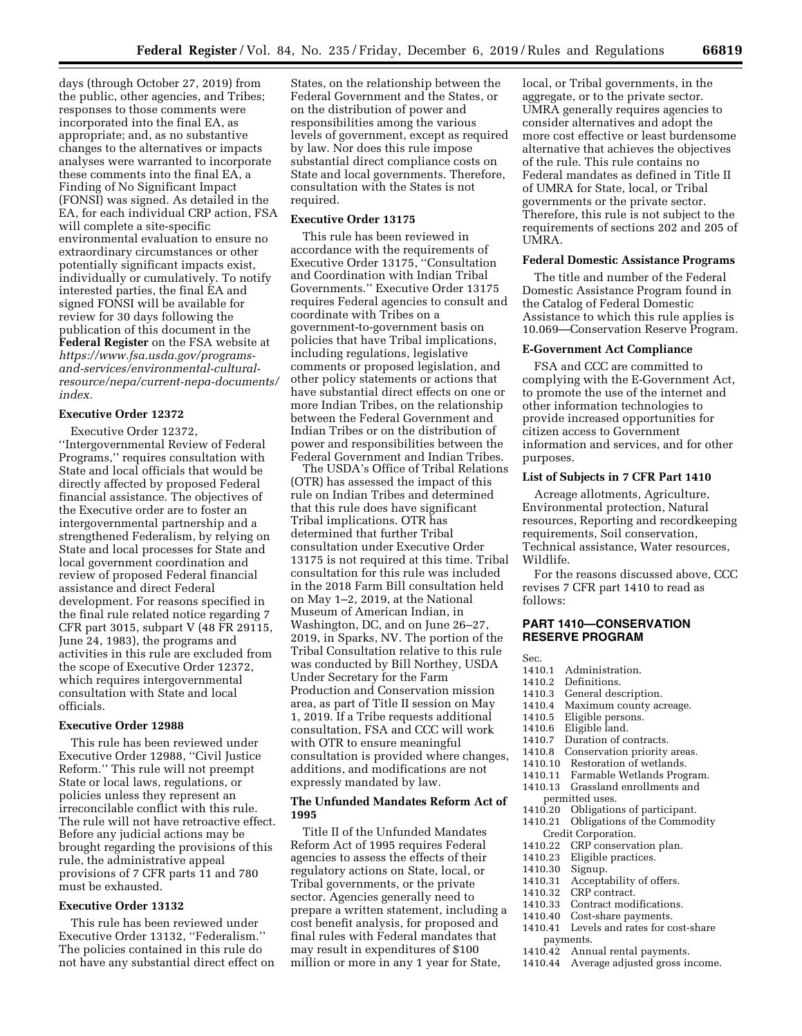days (through October 27, 2019) from the public, other agencies, and Tribes; responses to those comments were incorporated into the final EA, as appropriate; and, as no substantive changes to the alternatives or impacts analyses were warranted to incorporate these comments into the final EA, a Finding of No Significant Impact (FONSI) was signed. As detailed in the EA, for each individual CRP action, FSA will complete a site-specific environmental evaluation to ensure no extraordinary circumstances or other potentially significant impacts exist, individually or cumulatively. To notify interested parties, the final EA and signed FONSI will be available for review for 30 days following the publication of this document in the **Federal Register** on the FSA website at *https://www.fsa.usda.gov/programsand-services/environmental-cultural[resource/nepa/current-nepa-documents/](https://www.fsa.usda.gov/programs-and-services/environmental-cultural-resource/nepa/current-nepa-documents/index)  [index.](https://www.fsa.usda.gov/programs-and-services/environmental-cultural-resource/nepa/current-nepa-documents/index)* 

## **Executive Order 12372**

Executive Order 12372, ''Intergovernmental Review of Federal Programs,'' requires consultation with State and local officials that would be directly affected by proposed Federal financial assistance. The objectives of the Executive order are to foster an intergovernmental partnership and a strengthened Federalism, by relying on State and local processes for State and local government coordination and review of proposed Federal financial assistance and direct Federal development. For reasons specified in the final rule related notice regarding 7 CFR part 3015, subpart V (48 FR 29115, June 24, 1983), the programs and activities in this rule are excluded from the scope of Executive Order 12372, which requires intergovernmental consultation with State and local officials.

## **Executive Order 12988**

This rule has been reviewed under Executive Order 12988, ''Civil Justice Reform.'' This rule will not preempt State or local laws, regulations, or policies unless they represent an irreconcilable conflict with this rule. The rule will not have retroactive effect. Before any judicial actions may be brought regarding the provisions of this rule, the administrative appeal provisions of 7 CFR parts 11 and 780 must be exhausted.

# **Executive Order 13132**

This rule has been reviewed under Executive Order 13132, ''Federalism.'' The policies contained in this rule do not have any substantial direct effect on States, on the relationship between the Federal Government and the States, or on the distribution of power and responsibilities among the various levels of government, except as required by law. Nor does this rule impose substantial direct compliance costs on State and local governments. Therefore, consultation with the States is not required.

#### **Executive Order 13175**

This rule has been reviewed in accordance with the requirements of Executive Order 13175, ''Consultation and Coordination with Indian Tribal Governments.'' Executive Order 13175 requires Federal agencies to consult and coordinate with Tribes on a government-to-government basis on policies that have Tribal implications, including regulations, legislative comments or proposed legislation, and other policy statements or actions that have substantial direct effects on one or more Indian Tribes, on the relationship between the Federal Government and Indian Tribes or on the distribution of power and responsibilities between the Federal Government and Indian Tribes.

The USDA's Office of Tribal Relations (OTR) has assessed the impact of this rule on Indian Tribes and determined that this rule does have significant Tribal implications. OTR has determined that further Tribal consultation under Executive Order 13175 is not required at this time. Tribal consultation for this rule was included in the 2018 Farm Bill consultation held on May 1–2, 2019, at the National Museum of American Indian, in Washington, DC, and on June 26–27, 2019, in Sparks, NV. The portion of the Tribal Consultation relative to this rule was conducted by Bill Northey, USDA Under Secretary for the Farm Production and Conservation mission area, as part of Title II session on May 1, 2019. If a Tribe requests additional consultation, FSA and CCC will work with OTR to ensure meaningful consultation is provided where changes, additions, and modifications are not expressly mandated by law.

## **The Unfunded Mandates Reform Act of 1995**

Title II of the Unfunded Mandates Reform Act of 1995 requires Federal agencies to assess the effects of their regulatory actions on State, local, or Tribal governments, or the private sector. Agencies generally need to prepare a written statement, including a cost benefit analysis, for proposed and final rules with Federal mandates that may result in expenditures of \$100 million or more in any 1 year for State,

local, or Tribal governments, in the aggregate, or to the private sector. UMRA generally requires agencies to consider alternatives and adopt the more cost effective or least burdensome alternative that achieves the objectives of the rule. This rule contains no Federal mandates as defined in Title II of UMRA for State, local, or Tribal governments or the private sector. Therefore, this rule is not subject to the requirements of sections 202 and 205 of UMRA.

## **Federal Domestic Assistance Programs**

The title and number of the Federal Domestic Assistance Program found in the Catalog of Federal Domestic Assistance to which this rule applies is 10.069—Conservation Reserve Program.

# **E-Government Act Compliance**

FSA and CCC are committed to complying with the E-Government Act, to promote the use of the internet and other information technologies to provide increased opportunities for citizen access to Government information and services, and for other purposes.

#### **List of Subjects in 7 CFR Part 1410**

Acreage allotments, Agriculture, Environmental protection, Natural resources, Reporting and recordkeeping requirements, Soil conservation, Technical assistance, Water resources, Wildlife.

For the reasons discussed above, CCC revises 7 CFR part 1410 to read as follows:

## **PART 1410—CONSERVATION RESERVE PROGRAM**

- Sec.<br>1410.1 Administration.
- 1410.2 Definitions.
- 1410.3 General description.
- 1410.4 Maximum county acreage.<br>1410.5 Eligible persons.
- 1410.5 Eligible persons.<br>1410.6 Eligible land.
- Eligible land.
- 1410.7 Duration of contracts.
- 1410.8 Conservation priority areas.
- 1410.10 Restoration of wetlands.
- 1410.11 Farmable Wetlands Program.
- 1410.13 Grassland enrollments and
	- permitted uses.
- 1410.20 Obligations of participant.
- 1410.21 Obligations of the Commodity Credit Corporation.
- 
- 1410.22 CRP conservation plan.<br>1410.23 Eligible practices. Eligible practices.
- 1410.30 Signup.
- 1410.31 Acceptability of offers.
- 
- 1410.32 CRP contract.<br>1410.33 Contract mod Contract modifications.
- 1410.40 Cost-share payments.
- 1410.41 Levels and rates for cost-share payments.
- 1410.42 Annual rental payments.
- 1410.44 Average adjusted gross income.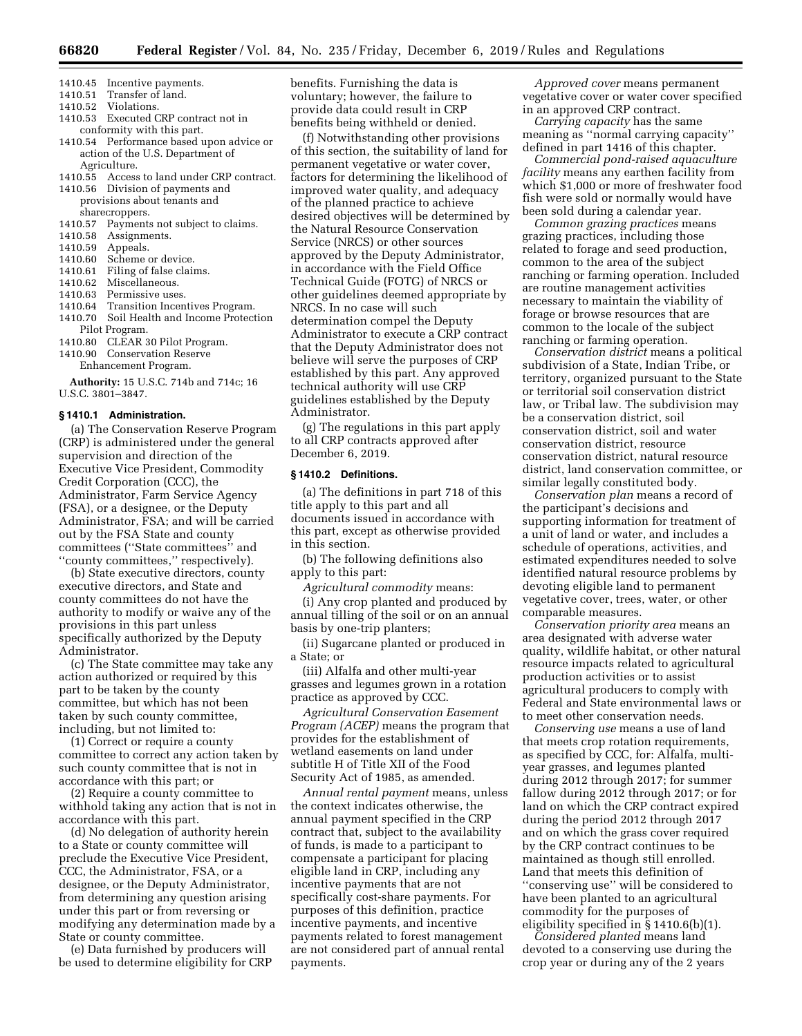- 1410.45 Incentive payments.
- 1410.51 Transfer of land.
- 1410.52 Violations.
- 1410.53 Executed CRP contract not in conformity with this part.
- 1410.54 Performance based upon advice or action of the U.S. Department of Agriculture.
- 1410.55 Access to land under CRP contract.
- 1410.56 Division of payments and provisions about tenants and sharecroppers.
- 1410.57 Payments not subject to claims.
- 1410.58 Assignments.
- 1410.59 Appeals.
- 1410.60 Scheme or device.
- 1410.61 Filing of false claims.
- 1410.62 Miscellaneous.
- 1410.63 Permissive uses.
- 1410.64 Transition Incentives Program. 1410.70 Soil Health and Income Protection
- Pilot Program.
- 1410.80 CLEAR 30 Pilot Program. 1410.90 Conservation Reserve
- Enhancement Program.

**Authority:** 15 U.S.C. 714b and 714c; 16 U.S.C. 3801–3847.

#### **§ 1410.1 Administration.**

(a) The Conservation Reserve Program (CRP) is administered under the general supervision and direction of the Executive Vice President, Commodity Credit Corporation (CCC), the Administrator, Farm Service Agency (FSA), or a designee, or the Deputy Administrator, FSA; and will be carried out by the FSA State and county committees (''State committees'' and ''county committees,'' respectively).

(b) State executive directors, county executive directors, and State and county committees do not have the authority to modify or waive any of the provisions in this part unless specifically authorized by the Deputy Administrator.

(c) The State committee may take any action authorized or required by this part to be taken by the county committee, but which has not been taken by such county committee, including, but not limited to:

(1) Correct or require a county committee to correct any action taken by such county committee that is not in accordance with this part; or

(2) Require a county committee to withhold taking any action that is not in accordance with this part.

(d) No delegation of authority herein to a State or county committee will preclude the Executive Vice President, CCC, the Administrator, FSA, or a designee, or the Deputy Administrator, from determining any question arising under this part or from reversing or modifying any determination made by a State or county committee.

(e) Data furnished by producers will be used to determine eligibility for CRP benefits. Furnishing the data is voluntary; however, the failure to provide data could result in CRP benefits being withheld or denied.

(f) Notwithstanding other provisions of this section, the suitability of land for permanent vegetative or water cover, factors for determining the likelihood of improved water quality, and adequacy of the planned practice to achieve desired objectives will be determined by the Natural Resource Conservation Service (NRCS) or other sources approved by the Deputy Administrator, in accordance with the Field Office Technical Guide (FOTG) of NRCS or other guidelines deemed appropriate by NRCS. In no case will such determination compel the Deputy Administrator to execute a CRP contract that the Deputy Administrator does not believe will serve the purposes of CRP established by this part. Any approved technical authority will use CRP guidelines established by the Deputy Administrator.

(g) The regulations in this part apply to all CRP contracts approved after December 6, 2019.

#### **§ 1410.2 Definitions.**

(a) The definitions in part 718 of this title apply to this part and all documents issued in accordance with this part, except as otherwise provided in this section.

(b) The following definitions also apply to this part:

*Agricultural commodity* means:

(i) Any crop planted and produced by annual tilling of the soil or on an annual basis by one-trip planters;

(ii) Sugarcane planted or produced in a State; or

(iii) Alfalfa and other multi-year grasses and legumes grown in a rotation practice as approved by CCC.

*Agricultural Conservation Easement Program (ACEP)* means the program that provides for the establishment of wetland easements on land under subtitle H of Title XII of the Food Security Act of 1985, as amended.

*Annual rental payment* means, unless the context indicates otherwise, the annual payment specified in the CRP contract that, subject to the availability of funds, is made to a participant to compensate a participant for placing eligible land in CRP, including any incentive payments that are not specifically cost-share payments. For purposes of this definition, practice incentive payments, and incentive payments related to forest management are not considered part of annual rental payments.

*Approved cover* means permanent vegetative cover or water cover specified in an approved CRP contract.

*Carrying capacity* has the same meaning as ''normal carrying capacity'' defined in part 1416 of this chapter.

*Commercial pond-raised aquaculture facility* means any earthen facility from which \$1,000 or more of freshwater food fish were sold or normally would have been sold during a calendar year.

*Common grazing practices* means grazing practices, including those related to forage and seed production, common to the area of the subject ranching or farming operation. Included are routine management activities necessary to maintain the viability of forage or browse resources that are common to the locale of the subject ranching or farming operation.

*Conservation district* means a political subdivision of a State, Indian Tribe, or territory, organized pursuant to the State or territorial soil conservation district law, or Tribal law. The subdivision may be a conservation district, soil conservation district, soil and water conservation district, resource conservation district, natural resource district, land conservation committee, or similar legally constituted body.

*Conservation plan* means a record of the participant's decisions and supporting information for treatment of a unit of land or water, and includes a schedule of operations, activities, and estimated expenditures needed to solve identified natural resource problems by devoting eligible land to permanent vegetative cover, trees, water, or other comparable measures.

*Conservation priority area* means an area designated with adverse water quality, wildlife habitat, or other natural resource impacts related to agricultural production activities or to assist agricultural producers to comply with Federal and State environmental laws or to meet other conservation needs.

*Conserving use* means a use of land that meets crop rotation requirements, as specified by CCC, for: Alfalfa, multiyear grasses, and legumes planted during 2012 through 2017; for summer fallow during 2012 through 2017; or for land on which the CRP contract expired during the period 2012 through 2017 and on which the grass cover required by the CRP contract continues to be maintained as though still enrolled. Land that meets this definition of ''conserving use'' will be considered to have been planted to an agricultural commodity for the purposes of eligibility specified in § 1410.6(b)(1).

*Considered planted* means land devoted to a conserving use during the crop year or during any of the 2 years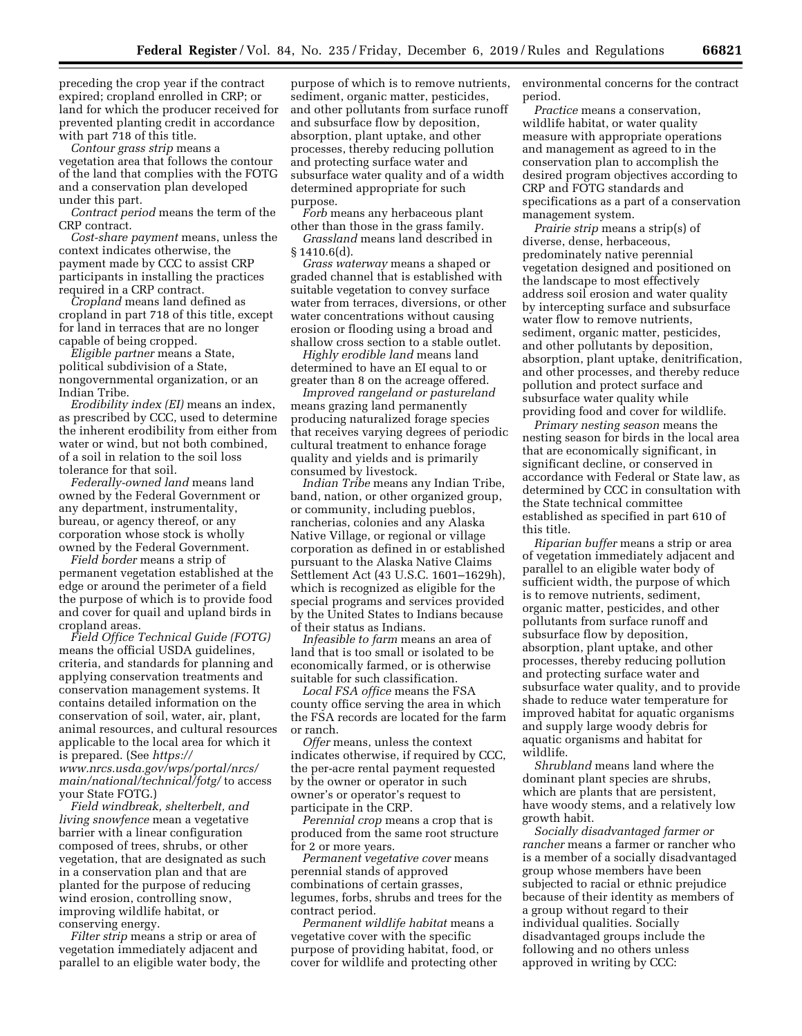preceding the crop year if the contract expired; cropland enrolled in CRP; or land for which the producer received for prevented planting credit in accordance with part 718 of this title.

*Contour grass strip* means a vegetation area that follows the contour of the land that complies with the FOTG and a conservation plan developed under this part.

*Contract period* means the term of the CRP contract.

*Cost-share payment* means, unless the context indicates otherwise, the payment made by CCC to assist CRP participants in installing the practices required in a CRP contract.

*Cropland* means land defined as cropland in part 718 of this title, except for land in terraces that are no longer capable of being cropped.

*Eligible partner* means a State, political subdivision of a State, nongovernmental organization, or an Indian Tribe.

*Erodibility index (EI)* means an index, as prescribed by CCC, used to determine the inherent erodibility from either from water or wind, but not both combined, of a soil in relation to the soil loss tolerance for that soil.

*Federally-owned land* means land owned by the Federal Government or any department, instrumentality, bureau, or agency thereof, or any corporation whose stock is wholly owned by the Federal Government.

*Field border* means a strip of permanent vegetation established at the edge or around the perimeter of a field the purpose of which is to provide food and cover for quail and upland birds in cropland areas.

*Field Office Technical Guide (FOTG)*  means the official USDA guidelines, criteria, and standards for planning and applying conservation treatments and conservation management systems. It contains detailed information on the conservation of soil, water, air, plant, animal resources, and cultural resources applicable to the local area for which it is prepared. (See *[https://](https://www.nrcs.usda.gov/wps/portal/nrcs/main/national/technical/fotg/) [www.nrcs.usda.gov/wps/portal/nrcs/](https://www.nrcs.usda.gov/wps/portal/nrcs/main/national/technical/fotg/) [main/national/technical/fotg/](https://www.nrcs.usda.gov/wps/portal/nrcs/main/national/technical/fotg/)* to access

your State FOTG.) *Field windbreak, shelterbelt, and living snowfence* mean a vegetative

barrier with a linear configuration composed of trees, shrubs, or other vegetation, that are designated as such in a conservation plan and that are planted for the purpose of reducing wind erosion, controlling snow, improving wildlife habitat, or conserving energy.

*Filter strip* means a strip or area of vegetation immediately adjacent and parallel to an eligible water body, the

purpose of which is to remove nutrients, sediment, organic matter, pesticides, and other pollutants from surface runoff and subsurface flow by deposition, absorption, plant uptake, and other processes, thereby reducing pollution and protecting surface water and subsurface water quality and of a width determined appropriate for such purpose.

*Forb* means any herbaceous plant other than those in the grass family.

*Grassland* means land described in  $§ 1410.6(d).$ 

*Grass waterway* means a shaped or graded channel that is established with suitable vegetation to convey surface water from terraces, diversions, or other water concentrations without causing erosion or flooding using a broad and shallow cross section to a stable outlet.

*Highly erodible land* means land determined to have an EI equal to or greater than 8 on the acreage offered.

*Improved rangeland or pastureland*  means grazing land permanently producing naturalized forage species that receives varying degrees of periodic cultural treatment to enhance forage quality and yields and is primarily consumed by livestock.

*Indian Tribe* means any Indian Tribe, band, nation, or other organized group, or community, including pueblos, rancherias, colonies and any Alaska Native Village, or regional or village corporation as defined in or established pursuant to the Alaska Native Claims Settlement Act (43 U.S.C. 1601–1629h), which is recognized as eligible for the special programs and services provided by the United States to Indians because of their status as Indians.

*Infeasible to farm* means an area of land that is too small or isolated to be economically farmed, or is otherwise suitable for such classification.

*Local FSA office* means the FSA county office serving the area in which the FSA records are located for the farm or ranch.

*Offer* means, unless the context indicates otherwise, if required by CCC, the per-acre rental payment requested by the owner or operator in such owner's or operator's request to participate in the CRP.

*Perennial crop* means a crop that is produced from the same root structure for 2 or more years.

*Permanent vegetative cover* means perennial stands of approved combinations of certain grasses, legumes, forbs, shrubs and trees for the contract period.

*Permanent wildlife habitat* means a vegetative cover with the specific purpose of providing habitat, food, or cover for wildlife and protecting other environmental concerns for the contract period.

*Practice* means a conservation, wildlife habitat, or water quality measure with appropriate operations and management as agreed to in the conservation plan to accomplish the desired program objectives according to CRP and FOTG standards and specifications as a part of a conservation management system.

*Prairie strip* means a strip(s) of diverse, dense, herbaceous, predominately native perennial vegetation designed and positioned on the landscape to most effectively address soil erosion and water quality by intercepting surface and subsurface water flow to remove nutrients, sediment, organic matter, pesticides, and other pollutants by deposition, absorption, plant uptake, denitrification, and other processes, and thereby reduce pollution and protect surface and subsurface water quality while providing food and cover for wildlife.

*Primary nesting season* means the nesting season for birds in the local area that are economically significant, in significant decline, or conserved in accordance with Federal or State law, as determined by CCC in consultation with the State technical committee established as specified in part 610 of this title.

*Riparian buffer* means a strip or area of vegetation immediately adjacent and parallel to an eligible water body of sufficient width, the purpose of which is to remove nutrients, sediment, organic matter, pesticides, and other pollutants from surface runoff and subsurface flow by deposition, absorption, plant uptake, and other processes, thereby reducing pollution and protecting surface water and subsurface water quality, and to provide shade to reduce water temperature for improved habitat for aquatic organisms and supply large woody debris for aquatic organisms and habitat for wildlife.

*Shrubland* means land where the dominant plant species are shrubs, which are plants that are persistent, have woody stems, and a relatively low growth habit.

*Socially disadvantaged farmer or rancher* means a farmer or rancher who is a member of a socially disadvantaged group whose members have been subjected to racial or ethnic prejudice because of their identity as members of a group without regard to their individual qualities. Socially disadvantaged groups include the following and no others unless approved in writing by CCC: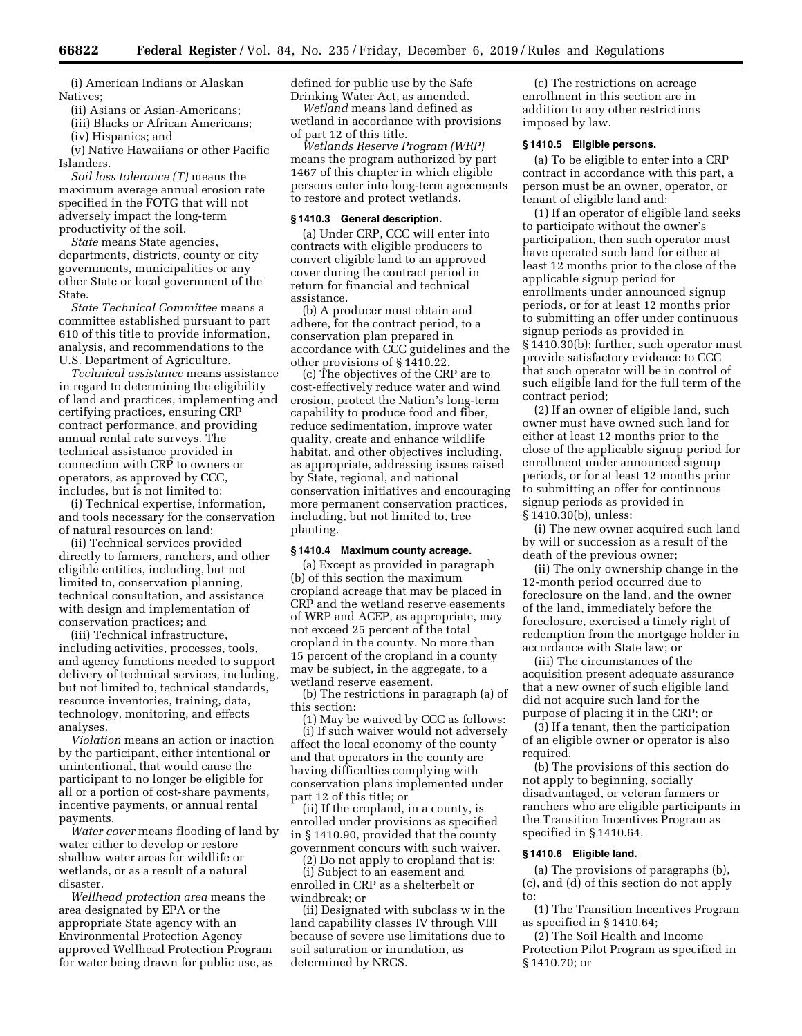(i) American Indians or Alaskan Natives;

(ii) Asians or Asian-Americans;

(iii) Blacks or African Americans;

(iv) Hispanics; and

(v) Native Hawaiians or other Pacific Islanders.

*Soil loss tolerance (T)* means the maximum average annual erosion rate specified in the FOTG that will not adversely impact the long-term productivity of the soil.

*State* means State agencies, departments, districts, county or city governments, municipalities or any other State or local government of the State.

*State Technical Committee* means a committee established pursuant to part 610 of this title to provide information, analysis, and recommendations to the U.S. Department of Agriculture.

*Technical assistance* means assistance in regard to determining the eligibility of land and practices, implementing and certifying practices, ensuring CRP contract performance, and providing annual rental rate surveys. The technical assistance provided in connection with CRP to owners or operators, as approved by CCC, includes, but is not limited to:

(i) Technical expertise, information, and tools necessary for the conservation of natural resources on land;

(ii) Technical services provided directly to farmers, ranchers, and other eligible entities, including, but not limited to, conservation planning, technical consultation, and assistance with design and implementation of conservation practices; and

(iii) Technical infrastructure, including activities, processes, tools, and agency functions needed to support delivery of technical services, including, but not limited to, technical standards, resource inventories, training, data, technology, monitoring, and effects analyses.

*Violation* means an action or inaction by the participant, either intentional or unintentional, that would cause the participant to no longer be eligible for all or a portion of cost-share payments, incentive payments, or annual rental payments.

*Water cover* means flooding of land by water either to develop or restore shallow water areas for wildlife or wetlands, or as a result of a natural disaster.

*Wellhead protection area* means the area designated by EPA or the appropriate State agency with an Environmental Protection Agency approved Wellhead Protection Program for water being drawn for public use, as defined for public use by the Safe Drinking Water Act, as amended.

*Wetland* means land defined as wetland in accordance with provisions of part 12 of this title.

*Wetlands Reserve Program (WRP)*  means the program authorized by part 1467 of this chapter in which eligible persons enter into long-term agreements to restore and protect wetlands.

#### **§ 1410.3 General description.**

(a) Under CRP, CCC will enter into contracts with eligible producers to convert eligible land to an approved cover during the contract period in return for financial and technical assistance.

(b) A producer must obtain and adhere, for the contract period, to a conservation plan prepared in accordance with CCC guidelines and the other provisions of § 1410.22.

(c) The objectives of the CRP are to cost-effectively reduce water and wind erosion, protect the Nation's long-term capability to produce food and fiber, reduce sedimentation, improve water quality, create and enhance wildlife habitat, and other objectives including, as appropriate, addressing issues raised by State, regional, and national conservation initiatives and encouraging more permanent conservation practices, including, but not limited to, tree planting.

#### **§ 1410.4 Maximum county acreage.**

(a) Except as provided in paragraph (b) of this section the maximum cropland acreage that may be placed in CRP and the wetland reserve easements of WRP and ACEP, as appropriate, may not exceed 25 percent of the total cropland in the county. No more than 15 percent of the cropland in a county may be subject, in the aggregate, to a wetland reserve easement.

(b) The restrictions in paragraph (a) of this section:

(1) May be waived by CCC as follows:

(i) If such waiver would not adversely affect the local economy of the county and that operators in the county are having difficulties complying with conservation plans implemented under part 12 of this title; or

(ii) If the cropland, in a county, is enrolled under provisions as specified in § 1410.90, provided that the county government concurs with such waiver.

(2) Do not apply to cropland that is:

(i) Subject to an easement and enrolled in CRP as a shelterbelt or windbreak; or

(ii) Designated with subclass w in the land capability classes IV through VIII because of severe use limitations due to soil saturation or inundation, as determined by NRCS.

(c) The restrictions on acreage enrollment in this section are in addition to any other restrictions imposed by law.

## **§ 1410.5 Eligible persons.**

(a) To be eligible to enter into a CRP contract in accordance with this part, a person must be an owner, operator, or tenant of eligible land and:

(1) If an operator of eligible land seeks to participate without the owner's participation, then such operator must have operated such land for either at least 12 months prior to the close of the applicable signup period for enrollments under announced signup periods, or for at least 12 months prior to submitting an offer under continuous signup periods as provided in § 1410.30(b); further, such operator must provide satisfactory evidence to CCC that such operator will be in control of such eligible land for the full term of the contract period;

(2) If an owner of eligible land, such owner must have owned such land for either at least 12 months prior to the close of the applicable signup period for enrollment under announced signup periods, or for at least 12 months prior to submitting an offer for continuous signup periods as provided in § 1410.30(b), unless:

(i) The new owner acquired such land by will or succession as a result of the death of the previous owner;

(ii) The only ownership change in the 12-month period occurred due to foreclosure on the land, and the owner of the land, immediately before the foreclosure, exercised a timely right of redemption from the mortgage holder in accordance with State law; or

(iii) The circumstances of the acquisition present adequate assurance that a new owner of such eligible land did not acquire such land for the purpose of placing it in the CRP; or

(3) If a tenant, then the participation of an eligible owner or operator is also required.

(b) The provisions of this section do not apply to beginning, socially disadvantaged, or veteran farmers or ranchers who are eligible participants in the Transition Incentives Program as specified in § 1410.64.

## **§ 1410.6 Eligible land.**

(a) The provisions of paragraphs (b), (c), and (d) of this section do not apply to:

(1) The Transition Incentives Program as specified in § 1410.64;

(2) The Soil Health and Income Protection Pilot Program as specified in § 1410.70; or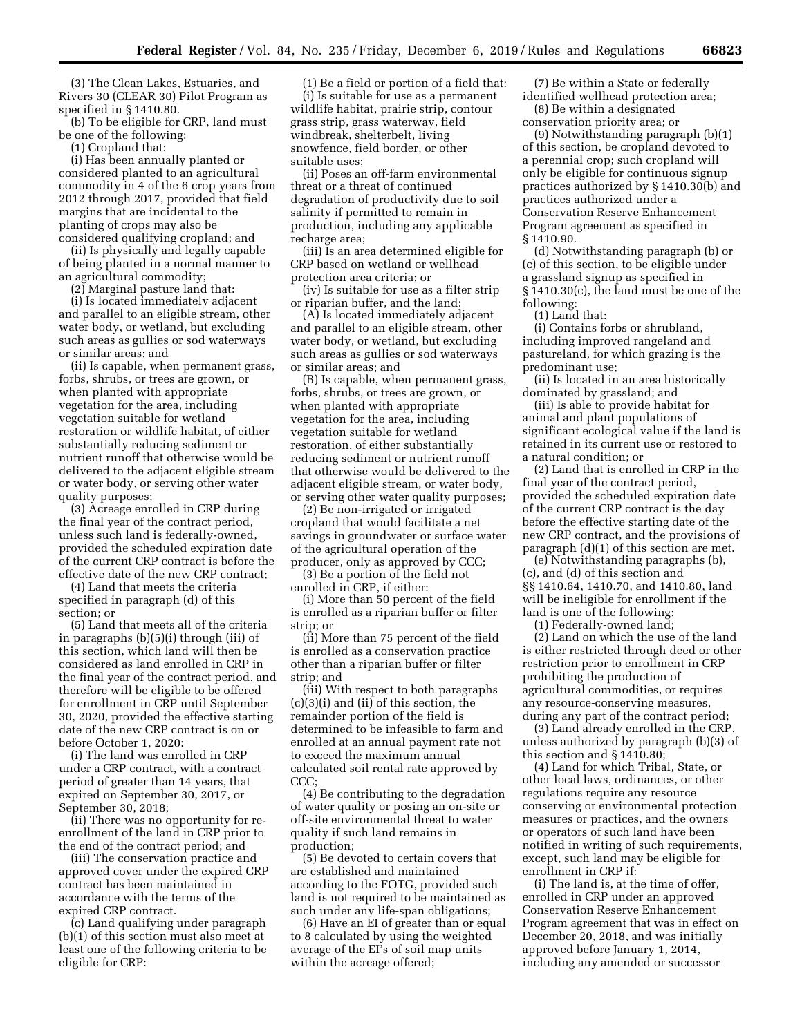(3) The Clean Lakes, Estuaries, and Rivers 30 (CLEAR 30) Pilot Program as specified in § 1410.80.

(b) To be eligible for CRP, land must be one of the following:

(1) Cropland that:

(i) Has been annually planted or considered planted to an agricultural commodity in 4 of the 6 crop years from 2012 through 2017, provided that field margins that are incidental to the planting of crops may also be considered qualifying cropland; and

(ii) Is physically and legally capable of being planted in a normal manner to an agricultural commodity;

(2) Marginal pasture land that:

(i) Is located immediately adjacent and parallel to an eligible stream, other water body, or wetland, but excluding such areas as gullies or sod waterways or similar areas; and

(ii) Is capable, when permanent grass, forbs, shrubs, or trees are grown, or when planted with appropriate vegetation for the area, including vegetation suitable for wetland restoration or wildlife habitat, of either substantially reducing sediment or nutrient runoff that otherwise would be delivered to the adjacent eligible stream or water body, or serving other water quality purposes;

(3) Acreage enrolled in CRP during the final year of the contract period, unless such land is federally-owned, provided the scheduled expiration date of the current CRP contract is before the effective date of the new CRP contract;

(4) Land that meets the criteria specified in paragraph (d) of this section; or

(5) Land that meets all of the criteria in paragraphs (b)(5)(i) through (iii) of this section, which land will then be considered as land enrolled in CRP in the final year of the contract period, and therefore will be eligible to be offered for enrollment in CRP until September 30, 2020, provided the effective starting date of the new CRP contract is on or before October 1, 2020:

(i) The land was enrolled in CRP under a CRP contract, with a contract period of greater than 14 years, that expired on September 30, 2017, or September 30, 2018;

(ii) There was no opportunity for reenrollment of the land in CRP prior to the end of the contract period; and

(iii) The conservation practice and approved cover under the expired CRP contract has been maintained in accordance with the terms of the expired CRP contract.

(c) Land qualifying under paragraph (b)(1) of this section must also meet at least one of the following criteria to be eligible for CRP:

(1) Be a field or portion of a field that: (i) Is suitable for use as a permanent wildlife habitat, prairie strip, contour grass strip, grass waterway, field windbreak, shelterbelt, living snowfence, field border, or other suitable uses;

(ii) Poses an off-farm environmental threat or a threat of continued degradation of productivity due to soil salinity if permitted to remain in production, including any applicable recharge area;

(iii) Is an area determined eligible for CRP based on wetland or wellhead protection area criteria; or

(iv) Is suitable for use as a filter strip or riparian buffer, and the land:

(A) Is located immediately adjacent and parallel to an eligible stream, other water body, or wetland, but excluding such areas as gullies or sod waterways or similar areas; and

(B) Is capable, when permanent grass, forbs, shrubs, or trees are grown, or when planted with appropriate vegetation for the area, including vegetation suitable for wetland restoration, of either substantially reducing sediment or nutrient runoff that otherwise would be delivered to the adjacent eligible stream, or water body, or serving other water quality purposes;

(2) Be non-irrigated or irrigated cropland that would facilitate a net savings in groundwater or surface water of the agricultural operation of the producer, only as approved by CCC;

(3) Be a portion of the field not enrolled in CRP, if either:

(i) More than 50 percent of the field is enrolled as a riparian buffer or filter strip; or

(ii) More than 75 percent of the field is enrolled as a conservation practice other than a riparian buffer or filter strip; and

(iii) With respect to both paragraphs (c)(3)(i) and (ii) of this section, the remainder portion of the field is determined to be infeasible to farm and enrolled at an annual payment rate not to exceed the maximum annual calculated soil rental rate approved by CCC;

(4) Be contributing to the degradation of water quality or posing an on-site or off-site environmental threat to water quality if such land remains in production;

(5) Be devoted to certain covers that are established and maintained according to the FOTG, provided such land is not required to be maintained as such under any life-span obligations;

(6) Have an EI of greater than or equal to 8 calculated by using the weighted average of the EI's of soil map units within the acreage offered;

(7) Be within a State or federally identified wellhead protection area;

(8) Be within a designated conservation priority area; or

(9) Notwithstanding paragraph (b)(1) of this section, be cropland devoted to a perennial crop; such cropland will only be eligible for continuous signup practices authorized by § 1410.30(b) and practices authorized under a Conservation Reserve Enhancement Program agreement as specified in § 1410.90.

(d) Notwithstanding paragraph (b) or (c) of this section, to be eligible under a grassland signup as specified in § 1410.30(c), the land must be one of the following:

(1) Land that:

(i) Contains forbs or shrubland, including improved rangeland and pastureland, for which grazing is the predominant use;

(ii) Is located in an area historically dominated by grassland; and

(iii) Is able to provide habitat for animal and plant populations of significant ecological value if the land is retained in its current use or restored to a natural condition; or

(2) Land that is enrolled in CRP in the final year of the contract period, provided the scheduled expiration date of the current CRP contract is the day before the effective starting date of the new CRP contract, and the provisions of paragraph (d)(1) of this section are met.

(e) Notwithstanding paragraphs (b), (c), and (d) of this section and §§ 1410.64, 1410.70, and 1410.80, land will be ineligible for enrollment if the land is one of the following:

(1) Federally-owned land;

(2) Land on which the use of the land is either restricted through deed or other restriction prior to enrollment in CRP prohibiting the production of agricultural commodities, or requires any resource-conserving measures, during any part of the contract period;

(3) Land already enrolled in the CRP, unless authorized by paragraph (b)(3) of this section and § 1410.80;

(4) Land for which Tribal, State, or other local laws, ordinances, or other regulations require any resource conserving or environmental protection measures or practices, and the owners or operators of such land have been notified in writing of such requirements, except, such land may be eligible for enrollment in CRP if:

(i) The land is, at the time of offer, enrolled in CRP under an approved Conservation Reserve Enhancement Program agreement that was in effect on December 20, 2018, and was initially approved before January 1, 2014, including any amended or successor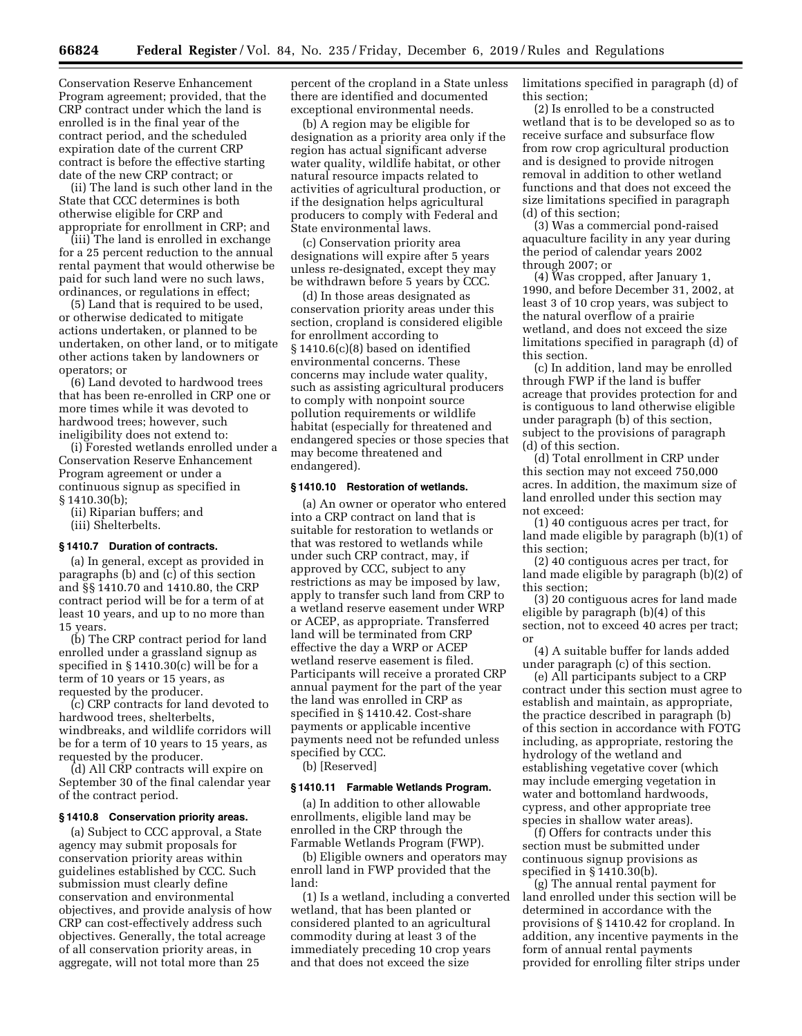Conservation Reserve Enhancement Program agreement; provided, that the CRP contract under which the land is enrolled is in the final year of the contract period, and the scheduled expiration date of the current CRP contract is before the effective starting date of the new CRP contract; or

(ii) The land is such other land in the State that CCC determines is both otherwise eligible for CRP and appropriate for enrollment in CRP; and

(iii) The land is enrolled in exchange for a 25 percent reduction to the annual rental payment that would otherwise be paid for such land were no such laws, ordinances, or regulations in effect;

(5) Land that is required to be used, or otherwise dedicated to mitigate actions undertaken, or planned to be undertaken, on other land, or to mitigate other actions taken by landowners or operators; or

(6) Land devoted to hardwood trees that has been re-enrolled in CRP one or more times while it was devoted to hardwood trees; however, such ineligibility does not extend to:

(i) Forested wetlands enrolled under a Conservation Reserve Enhancement Program agreement or under a continuous signup as specified in § 1410.30(b);

(ii) Riparian buffers; and (iii) Shelterbelts.

## **§ 1410.7 Duration of contracts.**

(a) In general, except as provided in paragraphs (b) and (c) of this section and §§ 1410.70 and 1410.80, the CRP contract period will be for a term of at least 10 years, and up to no more than 15 years.

(b) The CRP contract period for land enrolled under a grassland signup as specified in § 1410.30(c) will be for a term of 10 years or 15 years, as requested by the producer.

(c) CRP contracts for land devoted to hardwood trees, shelterbelts, windbreaks, and wildlife corridors will be for a term of 10 years to 15 years, as requested by the producer.

(d) All CRP contracts will expire on September 30 of the final calendar year of the contract period.

#### **§ 1410.8 Conservation priority areas.**

(a) Subject to CCC approval, a State agency may submit proposals for conservation priority areas within guidelines established by CCC. Such submission must clearly define conservation and environmental objectives, and provide analysis of how CRP can cost-effectively address such objectives. Generally, the total acreage of all conservation priority areas, in aggregate, will not total more than 25

percent of the cropland in a State unless there are identified and documented exceptional environmental needs.

(b) A region may be eligible for designation as a priority area only if the region has actual significant adverse water quality, wildlife habitat, or other natural resource impacts related to activities of agricultural production, or if the designation helps agricultural producers to comply with Federal and State environmental laws.

(c) Conservation priority area designations will expire after 5 years unless re-designated, except they may be withdrawn before 5 years by CCC.

(d) In those areas designated as conservation priority areas under this section, cropland is considered eligible for enrollment according to § 1410.6(c)(8) based on identified environmental concerns. These concerns may include water quality, such as assisting agricultural producers to comply with nonpoint source pollution requirements or wildlife habitat (especially for threatened and endangered species or those species that may become threatened and endangered).

## **§ 1410.10 Restoration of wetlands.**

(a) An owner or operator who entered into a CRP contract on land that is suitable for restoration to wetlands or that was restored to wetlands while under such CRP contract, may, if approved by CCC, subject to any restrictions as may be imposed by law, apply to transfer such land from CRP to a wetland reserve easement under WRP or ACEP, as appropriate. Transferred land will be terminated from CRP effective the day a WRP or ACEP wetland reserve easement is filed. Participants will receive a prorated CRP annual payment for the part of the year the land was enrolled in CRP as specified in § 1410.42. Cost-share payments or applicable incentive payments need not be refunded unless specified by CCC.

(b) [Reserved]

#### **§ 1410.11 Farmable Wetlands Program.**

(a) In addition to other allowable enrollments, eligible land may be enrolled in the CRP through the Farmable Wetlands Program (FWP).

(b) Eligible owners and operators may enroll land in FWP provided that the land:

(1) Is a wetland, including a converted wetland, that has been planted or considered planted to an agricultural commodity during at least 3 of the immediately preceding 10 crop years and that does not exceed the size

limitations specified in paragraph (d) of this section;

(2) Is enrolled to be a constructed wetland that is to be developed so as to receive surface and subsurface flow from row crop agricultural production and is designed to provide nitrogen removal in addition to other wetland functions and that does not exceed the size limitations specified in paragraph (d) of this section;

(3) Was a commercial pond-raised aquaculture facility in any year during the period of calendar years 2002 through 2007; or

(4) Was cropped, after January 1, 1990, and before December 31, 2002, at least 3 of 10 crop years, was subject to the natural overflow of a prairie wetland, and does not exceed the size limitations specified in paragraph (d) of this section.

(c) In addition, land may be enrolled through FWP if the land is buffer acreage that provides protection for and is contiguous to land otherwise eligible under paragraph (b) of this section, subject to the provisions of paragraph (d) of this section.

(d) Total enrollment in CRP under this section may not exceed 750,000 acres. In addition, the maximum size of land enrolled under this section may not exceed:

(1) 40 contiguous acres per tract, for land made eligible by paragraph (b)(1) of this section;

(2) 40 contiguous acres per tract, for land made eligible by paragraph (b)(2) of this section;

(3) 20 contiguous acres for land made eligible by paragraph (b)(4) of this section, not to exceed 40 acres per tract; or

(4) A suitable buffer for lands added under paragraph (c) of this section.

(e) All participants subject to a CRP contract under this section must agree to establish and maintain, as appropriate, the practice described in paragraph (b) of this section in accordance with FOTG including, as appropriate, restoring the hydrology of the wetland and establishing vegetative cover (which may include emerging vegetation in water and bottomland hardwoods, cypress, and other appropriate tree species in shallow water areas).

(f) Offers for contracts under this section must be submitted under continuous signup provisions as specified in § 1410.30(b).

(g) The annual rental payment for land enrolled under this section will be determined in accordance with the provisions of § 1410.42 for cropland. In addition, any incentive payments in the form of annual rental payments provided for enrolling filter strips under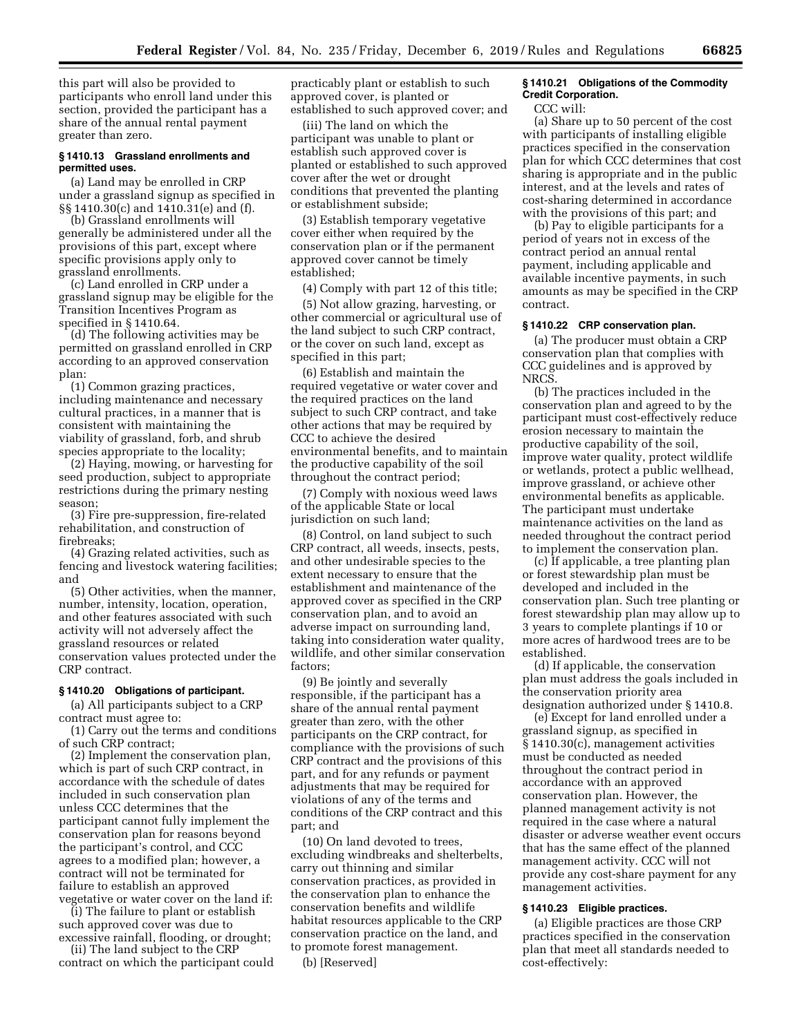this part will also be provided to participants who enroll land under this section, provided the participant has a share of the annual rental payment greater than zero.

## **§ 1410.13 Grassland enrollments and permitted uses.**

(a) Land may be enrolled in CRP under a grassland signup as specified in §§ 1410.30(c) and 1410.31(e) and (f).

(b) Grassland enrollments will generally be administered under all the provisions of this part, except where specific provisions apply only to grassland enrollments.

(c) Land enrolled in CRP under a grassland signup may be eligible for the Transition Incentives Program as specified in § 1410.64.

(d) The following activities may be permitted on grassland enrolled in CRP according to an approved conservation plan:

(1) Common grazing practices, including maintenance and necessary cultural practices, in a manner that is consistent with maintaining the viability of grassland, forb, and shrub species appropriate to the locality;

(2) Haying, mowing, or harvesting for seed production, subject to appropriate restrictions during the primary nesting season;

(3) Fire pre-suppression, fire-related rehabilitation, and construction of firebreaks;

(4) Grazing related activities, such as fencing and livestock watering facilities; and

(5) Other activities, when the manner, number, intensity, location, operation, and other features associated with such activity will not adversely affect the grassland resources or related conservation values protected under the CRP contract.

#### **§ 1410.20 Obligations of participant.**

(a) All participants subject to a CRP contract must agree to:

(1) Carry out the terms and conditions of such CRP contract;

(2) Implement the conservation plan, which is part of such CRP contract, in accordance with the schedule of dates included in such conservation plan unless CCC determines that the participant cannot fully implement the conservation plan for reasons beyond the participant's control, and CCC agrees to a modified plan; however, a contract will not be terminated for failure to establish an approved vegetative or water cover on the land if:

(i) The failure to plant or establish such approved cover was due to excessive rainfall, flooding, or drought;

(ii) The land subject to the CRP contract on which the participant could practicably plant or establish to such approved cover, is planted or established to such approved cover; and

(iii) The land on which the participant was unable to plant or establish such approved cover is planted or established to such approved cover after the wet or drought conditions that prevented the planting or establishment subside;

(3) Establish temporary vegetative cover either when required by the conservation plan or if the permanent approved cover cannot be timely established;

(4) Comply with part 12 of this title;

(5) Not allow grazing, harvesting, or other commercial or agricultural use of the land subject to such CRP contract, or the cover on such land, except as specified in this part;

(6) Establish and maintain the required vegetative or water cover and the required practices on the land subject to such CRP contract, and take other actions that may be required by CCC to achieve the desired environmental benefits, and to maintain the productive capability of the soil throughout the contract period;

(7) Comply with noxious weed laws of the applicable State or local jurisdiction on such land;

(8) Control, on land subject to such CRP contract, all weeds, insects, pests, and other undesirable species to the extent necessary to ensure that the establishment and maintenance of the approved cover as specified in the CRP conservation plan, and to avoid an adverse impact on surrounding land, taking into consideration water quality, wildlife, and other similar conservation factors;

(9) Be jointly and severally responsible, if the participant has a share of the annual rental payment greater than zero, with the other participants on the CRP contract, for compliance with the provisions of such CRP contract and the provisions of this part, and for any refunds or payment adjustments that may be required for violations of any of the terms and conditions of the CRP contract and this part; and

(10) On land devoted to trees, excluding windbreaks and shelterbelts, carry out thinning and similar conservation practices, as provided in the conservation plan to enhance the conservation benefits and wildlife habitat resources applicable to the CRP conservation practice on the land, and to promote forest management.

(b) [Reserved]

## **§ 1410.21 Obligations of the Commodity Credit Corporation.**

CCC will:

(a) Share up to 50 percent of the cost with participants of installing eligible practices specified in the conservation plan for which CCC determines that cost sharing is appropriate and in the public interest, and at the levels and rates of cost-sharing determined in accordance with the provisions of this part; and

(b) Pay to eligible participants for a period of years not in excess of the contract period an annual rental payment, including applicable and available incentive payments, in such amounts as may be specified in the CRP contract.

## **§ 1410.22 CRP conservation plan.**

(a) The producer must obtain a CRP conservation plan that complies with CCC guidelines and is approved by **NRCS** 

(b) The practices included in the conservation plan and agreed to by the participant must cost-effectively reduce erosion necessary to maintain the productive capability of the soil, improve water quality, protect wildlife or wetlands, protect a public wellhead, improve grassland, or achieve other environmental benefits as applicable. The participant must undertake maintenance activities on the land as needed throughout the contract period to implement the conservation plan.

(c) If applicable, a tree planting plan or forest stewardship plan must be developed and included in the conservation plan. Such tree planting or forest stewardship plan may allow up to 3 years to complete plantings if 10 or more acres of hardwood trees are to be established.

(d) If applicable, the conservation plan must address the goals included in the conservation priority area designation authorized under § 1410.8.

(e) Except for land enrolled under a grassland signup, as specified in § 1410.30(c), management activities must be conducted as needed throughout the contract period in accordance with an approved conservation plan. However, the planned management activity is not required in the case where a natural disaster or adverse weather event occurs that has the same effect of the planned management activity. CCC will not provide any cost-share payment for any management activities.

## **§ 1410.23 Eligible practices.**

(a) Eligible practices are those CRP practices specified in the conservation plan that meet all standards needed to cost-effectively: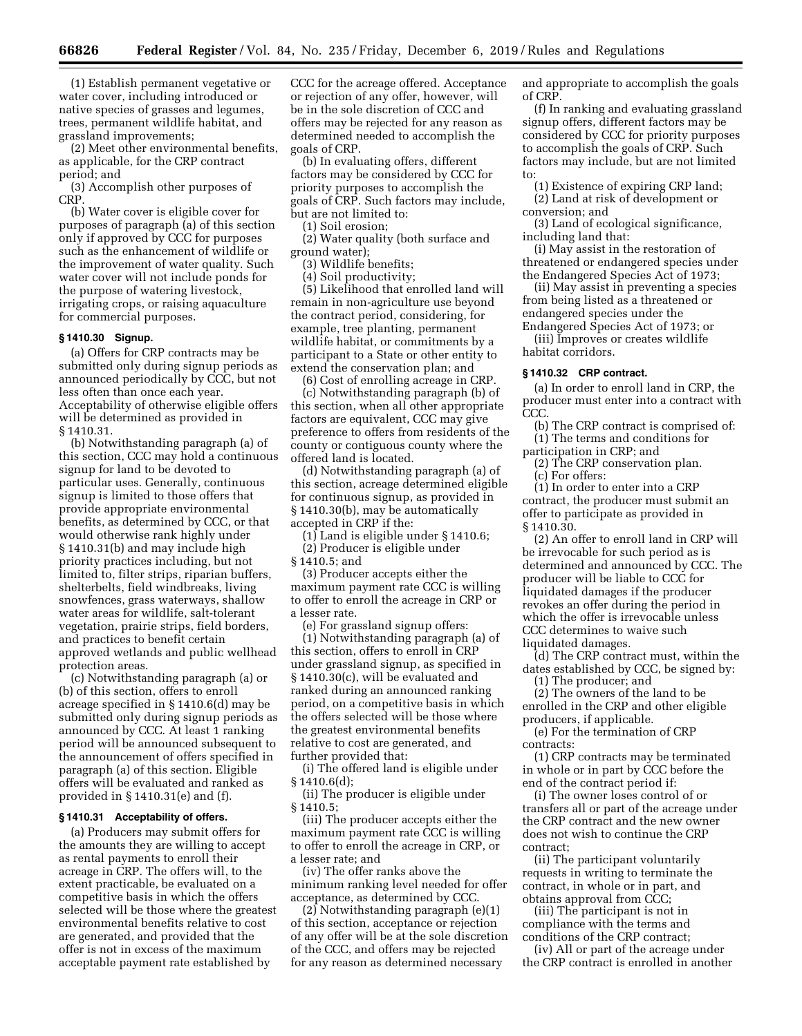(1) Establish permanent vegetative or water cover, including introduced or native species of grasses and legumes, trees, permanent wildlife habitat, and grassland improvements;

(2) Meet other environmental benefits, as applicable, for the CRP contract period; and

(3) Accomplish other purposes of **CRP** 

(b) Water cover is eligible cover for purposes of paragraph (a) of this section only if approved by CCC for purposes such as the enhancement of wildlife or the improvement of water quality. Such water cover will not include ponds for the purpose of watering livestock, irrigating crops, or raising aquaculture for commercial purposes.

## **§ 1410.30 Signup.**

(a) Offers for CRP contracts may be submitted only during signup periods as announced periodically by CCC, but not less often than once each year. Acceptability of otherwise eligible offers will be determined as provided in § 1410.31.

(b) Notwithstanding paragraph (a) of this section, CCC may hold a continuous signup for land to be devoted to particular uses. Generally, continuous signup is limited to those offers that provide appropriate environmental benefits, as determined by CCC, or that would otherwise rank highly under § 1410.31(b) and may include high priority practices including, but not limited to, filter strips, riparian buffers, shelterbelts, field windbreaks, living snowfences, grass waterways, shallow water areas for wildlife, salt-tolerant vegetation, prairie strips, field borders, and practices to benefit certain approved wetlands and public wellhead protection areas.

(c) Notwithstanding paragraph (a) or (b) of this section, offers to enroll acreage specified in § 1410.6(d) may be submitted only during signup periods as announced by CCC. At least 1 ranking period will be announced subsequent to the announcement of offers specified in paragraph (a) of this section. Eligible offers will be evaluated and ranked as provided in § 1410.31(e) and (f).

#### **§ 1410.31 Acceptability of offers.**

(a) Producers may submit offers for the amounts they are willing to accept as rental payments to enroll their acreage in CRP. The offers will, to the extent practicable, be evaluated on a competitive basis in which the offers selected will be those where the greatest environmental benefits relative to cost are generated, and provided that the offer is not in excess of the maximum acceptable payment rate established by

CCC for the acreage offered. Acceptance or rejection of any offer, however, will be in the sole discretion of CCC and offers may be rejected for any reason as determined needed to accomplish the goals of CRP.

(b) In evaluating offers, different factors may be considered by CCC for priority purposes to accomplish the goals of CRP. Such factors may include, but are not limited to:

(1) Soil erosion;

(2) Water quality (both surface and ground water);

(3) Wildlife benefits;

(4) Soil productivity; (5) Likelihood that enrolled land will remain in non-agriculture use beyond the contract period, considering, for example, tree planting, permanent wildlife habitat, or commitments by a participant to a State or other entity to extend the conservation plan; and

(6) Cost of enrolling acreage in CRP. (c) Notwithstanding paragraph (b) of this section, when all other appropriate factors are equivalent, CCC may give preference to offers from residents of the county or contiguous county where the offered land is located.

(d) Notwithstanding paragraph (a) of this section, acreage determined eligible for continuous signup, as provided in § 1410.30(b), may be automatically accepted in CRP if the:

 $(1)$  Land is eligible under § 1410.6;

(2) Producer is eligible under § 1410.5; and

(3) Producer accepts either the maximum payment rate CCC is willing to offer to enroll the acreage in CRP or a lesser rate.

(e) For grassland signup offers: (1) Notwithstanding paragraph (a) of this section, offers to enroll in CRP under grassland signup, as specified in § 1410.30(c), will be evaluated and ranked during an announced ranking period, on a competitive basis in which the offers selected will be those where the greatest environmental benefits relative to cost are generated, and further provided that:

(i) The offered land is eligible under § 1410.6(d);

(ii) The producer is eligible under § 1410.5;

(iii) The producer accepts either the maximum payment rate CCC is willing to offer to enroll the acreage in CRP, or a lesser rate; and

(iv) The offer ranks above the minimum ranking level needed for offer acceptance, as determined by CCC.

(2) Notwithstanding paragraph (e)(1) of this section, acceptance or rejection of any offer will be at the sole discretion of the CCC, and offers may be rejected for any reason as determined necessary

and appropriate to accomplish the goals of CRP.

(f) In ranking and evaluating grassland signup offers, different factors may be considered by CCC for priority purposes to accomplish the goals of CRP. Such factors may include, but are not limited to:

- (1) Existence of expiring CRP land;
- (2) Land at risk of development or conversion; and

(3) Land of ecological significance, including land that:

(i) May assist in the restoration of threatened or endangered species under the Endangered Species Act of 1973;

(ii) May assist in preventing a species from being listed as a threatened or endangered species under the

Endangered Species Act of 1973; or (iii) Improves or creates wildlife habitat corridors.

#### **§ 1410.32 CRP contract.**

(a) In order to enroll land in CRP, the producer must enter into a contract with CCC.

(b) The CRP contract is comprised of: (1) The terms and conditions for

participation in CRP; and

(2) The CRP conservation plan. (c) For offers:

(1) In order to enter into a CRP contract, the producer must submit an offer to participate as provided in § 1410.30.

(2) An offer to enroll land in CRP will be irrevocable for such period as is determined and announced by CCC. The producer will be liable to CCC for liquidated damages if the producer revokes an offer during the period in which the offer is irrevocable unless CCC determines to waive such liquidated damages.

(d) The CRP contract must, within the dates established by CCC, be signed by:

(1) The producer; and

(2) The owners of the land to be enrolled in the CRP and other eligible producers, if applicable.

(e) For the termination of CRP contracts:

(1) CRP contracts may be terminated in whole or in part by CCC before the end of the contract period if:

(i) The owner loses control of or transfers all or part of the acreage under the CRP contract and the new owner does not wish to continue the CRP contract;

(ii) The participant voluntarily requests in writing to terminate the contract, in whole or in part, and obtains approval from CCC;

(iii) The participant is not in compliance with the terms and conditions of the CRP contract;

(iv) All or part of the acreage under the CRP contract is enrolled in another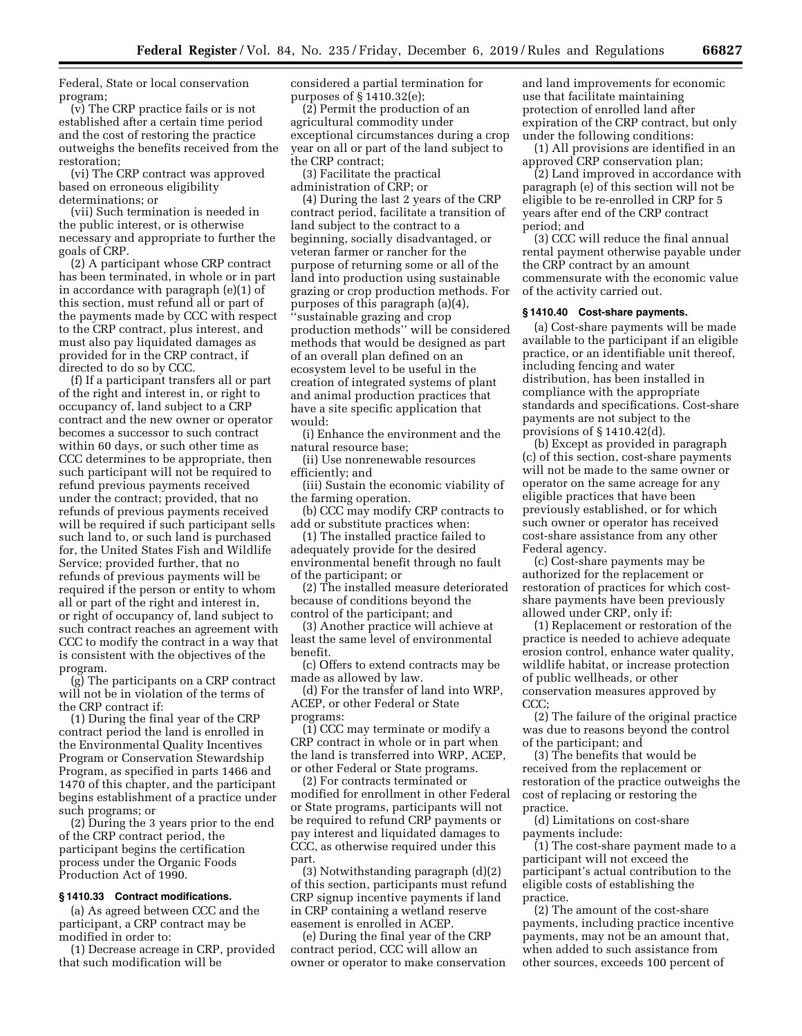Federal, State or local conservation program;

(v) The CRP practice fails or is not established after a certain time period and the cost of restoring the practice outweighs the benefits received from the restoration;

(vi) The CRP contract was approved based on erroneous eligibility determinations; or

(vii) Such termination is needed in the public interest, or is otherwise necessary and appropriate to further the goals of CRP.

(2) A participant whose CRP contract has been terminated, in whole or in part in accordance with paragraph (e)(1) of this section, must refund all or part of the payments made by CCC with respect to the CRP contract, plus interest, and must also pay liquidated damages as provided for in the CRP contract, if directed to do so by CCC.

(f) If a participant transfers all or part of the right and interest in, or right to occupancy of, land subject to a CRP contract and the new owner or operator becomes a successor to such contract within 60 days, or such other time as CCC determines to be appropriate, then such participant will not be required to refund previous payments received under the contract; provided, that no refunds of previous payments received will be required if such participant sells such land to, or such land is purchased for, the United States Fish and Wildlife Service; provided further, that no refunds of previous payments will be required if the person or entity to whom all or part of the right and interest in, or right of occupancy of, land subject to such contract reaches an agreement with CCC to modify the contract in a way that is consistent with the objectives of the program.

(g) The participants on a CRP contract will not be in violation of the terms of the CRP contract if:

(1) During the final year of the CRP contract period the land is enrolled in the Environmental Quality Incentives Program or Conservation Stewardship Program, as specified in parts 1466 and 1470 of this chapter, and the participant begins establishment of a practice under such programs; or

(2) During the 3 years prior to the end of the CRP contract period, the participant begins the certification process under the Organic Foods Production Act of 1990.

## **§ 1410.33 Contract modifications.**

(a) As agreed between CCC and the participant, a CRP contract may be modified in order to:

(1) Decrease acreage in CRP, provided that such modification will be

considered a partial termination for purposes of § 1410.32(e);

(2) Permit the production of an agricultural commodity under exceptional circumstances during a crop year on all or part of the land subject to the CRP contract;

(3) Facilitate the practical administration of CRP; or

(4) During the last 2 years of the CRP contract period, facilitate a transition of land subject to the contract to a beginning, socially disadvantaged, or veteran farmer or rancher for the purpose of returning some or all of the land into production using sustainable grazing or crop production methods. For purposes of this paragraph (a)(4), ''sustainable grazing and crop production methods'' will be considered methods that would be designed as part of an overall plan defined on an ecosystem level to be useful in the creation of integrated systems of plant and animal production practices that have a site specific application that would:

(i) Enhance the environment and the natural resource base;

(ii) Use nonrenewable resources efficiently; and

(iii) Sustain the economic viability of the farming operation.

(b) CCC may modify CRP contracts to add or substitute practices when:

(1) The installed practice failed to adequately provide for the desired environmental benefit through no fault of the participant; or

(2) The installed measure deteriorated because of conditions beyond the control of the participant; and

(3) Another practice will achieve at least the same level of environmental benefit.

(c) Offers to extend contracts may be made as allowed by law.

(d) For the transfer of land into WRP, ACEP, or other Federal or State programs:

(1) CCC may terminate or modify a CRP contract in whole or in part when the land is transferred into WRP, ACEP, or other Federal or State programs.

(2) For contracts terminated or modified for enrollment in other Federal or State programs, participants will not be required to refund CRP payments or pay interest and liquidated damages to CCC, as otherwise required under this part.

(3) Notwithstanding paragraph (d)(2) of this section, participants must refund CRP signup incentive payments if land in CRP containing a wetland reserve easement is enrolled in ACEP.

(e) During the final year of the CRP contract period, CCC will allow an owner or operator to make conservation and land improvements for economic use that facilitate maintaining protection of enrolled land after expiration of the CRP contract, but only under the following conditions:

(1) All provisions are identified in an approved CRP conservation plan;

(2) Land improved in accordance with paragraph (e) of this section will not be eligible to be re-enrolled in CRP for 5 years after end of the CRP contract period; and

(3) CCC will reduce the final annual rental payment otherwise payable under the CRP contract by an amount commensurate with the economic value of the activity carried out.

## **§ 1410.40 Cost-share payments.**

(a) Cost-share payments will be made available to the participant if an eligible practice, or an identifiable unit thereof, including fencing and water distribution, has been installed in compliance with the appropriate standards and specifications. Cost-share payments are not subject to the provisions of § 1410.42(d).

(b) Except as provided in paragraph (c) of this section, cost-share payments will not be made to the same owner or operator on the same acreage for any eligible practices that have been previously established, or for which such owner or operator has received cost-share assistance from any other Federal agency.

(c) Cost-share payments may be authorized for the replacement or restoration of practices for which costshare payments have been previously allowed under CRP, only if:

(1) Replacement or restoration of the practice is needed to achieve adequate erosion control, enhance water quality, wildlife habitat, or increase protection of public wellheads, or other conservation measures approved by CCC;

(2) The failure of the original practice was due to reasons beyond the control of the participant; and

(3) The benefits that would be received from the replacement or restoration of the practice outweighs the cost of replacing or restoring the practice.

(d) Limitations on cost-share payments include:

(1) The cost-share payment made to a participant will not exceed the participant's actual contribution to the eligible costs of establishing the practice.

(2) The amount of the cost-share payments, including practice incentive payments, may not be an amount that, when added to such assistance from other sources, exceeds 100 percent of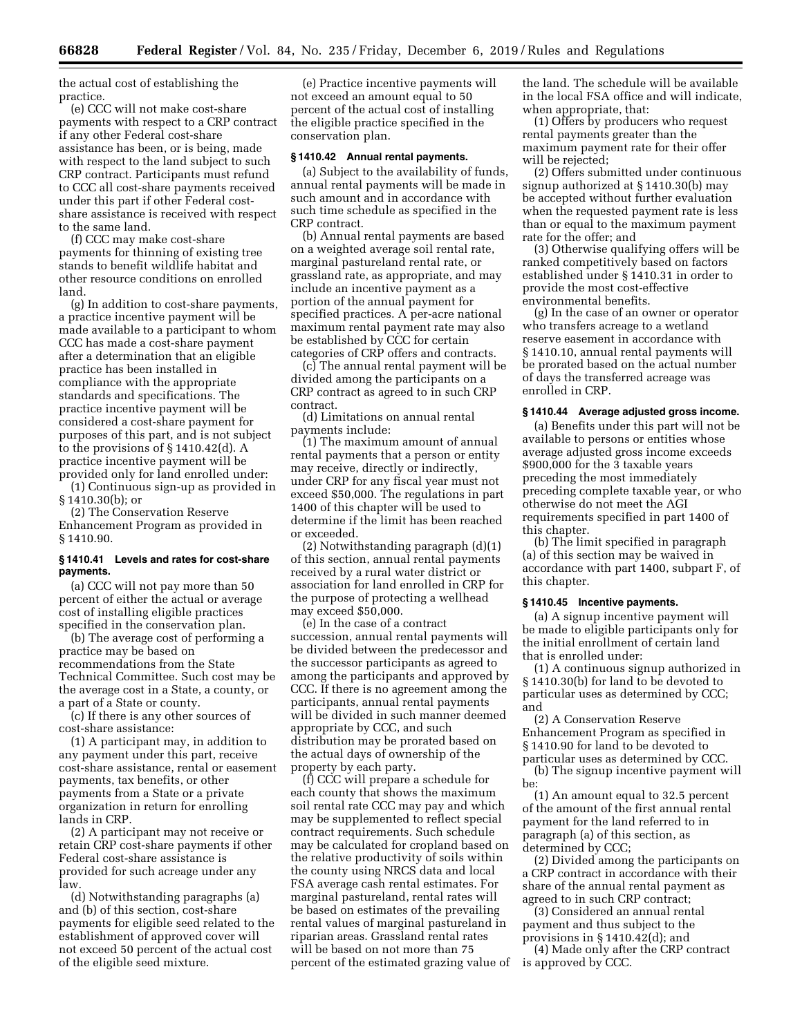the actual cost of establishing the practice.

(e) CCC will not make cost-share payments with respect to a CRP contract if any other Federal cost-share assistance has been, or is being, made with respect to the land subject to such CRP contract. Participants must refund to CCC all cost-share payments received under this part if other Federal costshare assistance is received with respect to the same land.

(f) CCC may make cost-share payments for thinning of existing tree stands to benefit wildlife habitat and other resource conditions on enrolled land.

(g) In addition to cost-share payments, a practice incentive payment will be made available to a participant to whom CCC has made a cost-share payment after a determination that an eligible practice has been installed in compliance with the appropriate standards and specifications. The practice incentive payment will be considered a cost-share payment for purposes of this part, and is not subject to the provisions of § 1410.42(d). A practice incentive payment will be provided only for land enrolled under:

(1) Continuous sign-up as provided in § 1410.30(b); or

(2) The Conservation Reserve Enhancement Program as provided in § 1410.90.

## **§ 1410.41 Levels and rates for cost-share payments.**

(a) CCC will not pay more than 50 percent of either the actual or average cost of installing eligible practices specified in the conservation plan.

(b) The average cost of performing a practice may be based on recommendations from the State Technical Committee. Such cost may be the average cost in a State, a county, or a part of a State or county.

(c) If there is any other sources of cost-share assistance:

(1) A participant may, in addition to any payment under this part, receive cost-share assistance, rental or easement payments, tax benefits, or other payments from a State or a private organization in return for enrolling lands in CRP.

(2) A participant may not receive or retain CRP cost-share payments if other Federal cost-share assistance is provided for such acreage under any law.

(d) Notwithstanding paragraphs (a) and (b) of this section, cost-share payments for eligible seed related to the establishment of approved cover will not exceed 50 percent of the actual cost of the eligible seed mixture.

(e) Practice incentive payments will not exceed an amount equal to 50 percent of the actual cost of installing the eligible practice specified in the conservation plan.

## **§ 1410.42 Annual rental payments.**

(a) Subject to the availability of funds, annual rental payments will be made in such amount and in accordance with such time schedule as specified in the CRP contract.

(b) Annual rental payments are based on a weighted average soil rental rate, marginal pastureland rental rate, or grassland rate, as appropriate, and may include an incentive payment as a portion of the annual payment for specified practices. A per-acre national maximum rental payment rate may also be established by CCC for certain categories of CRP offers and contracts.

(c) The annual rental payment will be divided among the participants on a CRP contract as agreed to in such CRP contract.

(d) Limitations on annual rental payments include:

(1) The maximum amount of annual rental payments that a person or entity may receive, directly or indirectly, under CRP for any fiscal year must not exceed \$50,000. The regulations in part 1400 of this chapter will be used to determine if the limit has been reached or exceeded.

(2) Notwithstanding paragraph (d)(1) of this section, annual rental payments received by a rural water district or association for land enrolled in CRP for the purpose of protecting a wellhead may exceed \$50,000.

(e) In the case of a contract succession, annual rental payments will be divided between the predecessor and the successor participants as agreed to among the participants and approved by CCC. If there is no agreement among the participants, annual rental payments will be divided in such manner deemed appropriate by CCC, and such distribution may be prorated based on the actual days of ownership of the property by each party.

(f) CCC will prepare a schedule for each county that shows the maximum soil rental rate CCC may pay and which may be supplemented to reflect special contract requirements. Such schedule may be calculated for cropland based on the relative productivity of soils within the county using NRCS data and local FSA average cash rental estimates. For marginal pastureland, rental rates will be based on estimates of the prevailing rental values of marginal pastureland in riparian areas. Grassland rental rates will be based on not more than 75 percent of the estimated grazing value of the land. The schedule will be available in the local FSA office and will indicate, when appropriate, that:

(1) Offers by producers who request rental payments greater than the maximum payment rate for their offer will be rejected:

(2) Offers submitted under continuous signup authorized at § 1410.30(b) may be accepted without further evaluation when the requested payment rate is less than or equal to the maximum payment rate for the offer; and

(3) Otherwise qualifying offers will be ranked competitively based on factors established under § 1410.31 in order to provide the most cost-effective environmental benefits.

(g) In the case of an owner or operator who transfers acreage to a wetland reserve easement in accordance with § 1410.10, annual rental payments will be prorated based on the actual number of days the transferred acreage was enrolled in CRP.

## **§ 1410.44 Average adjusted gross income.**

(a) Benefits under this part will not be available to persons or entities whose average adjusted gross income exceeds \$900,000 for the 3 taxable years preceding the most immediately preceding complete taxable year, or who otherwise do not meet the AGI requirements specified in part 1400 of this chapter.

(b) The limit specified in paragraph (a) of this section may be waived in accordance with part 1400, subpart F, of this chapter.

#### **§ 1410.45 Incentive payments.**

(a) A signup incentive payment will be made to eligible participants only for the initial enrollment of certain land that is enrolled under:

(1) A continuous signup authorized in § 1410.30(b) for land to be devoted to particular uses as determined by CCC; and

(2) A Conservation Reserve Enhancement Program as specified in § 1410.90 for land to be devoted to particular uses as determined by CCC.

(b) The signup incentive payment will be:

(1) An amount equal to 32.5 percent of the amount of the first annual rental payment for the land referred to in paragraph (a) of this section, as determined by CCC;

(2) Divided among the participants on a CRP contract in accordance with their share of the annual rental payment as agreed to in such CRP contract;

(3) Considered an annual rental payment and thus subject to the provisions in § 1410.42(d); and

(4) Made only after the CRP contract is approved by CCC.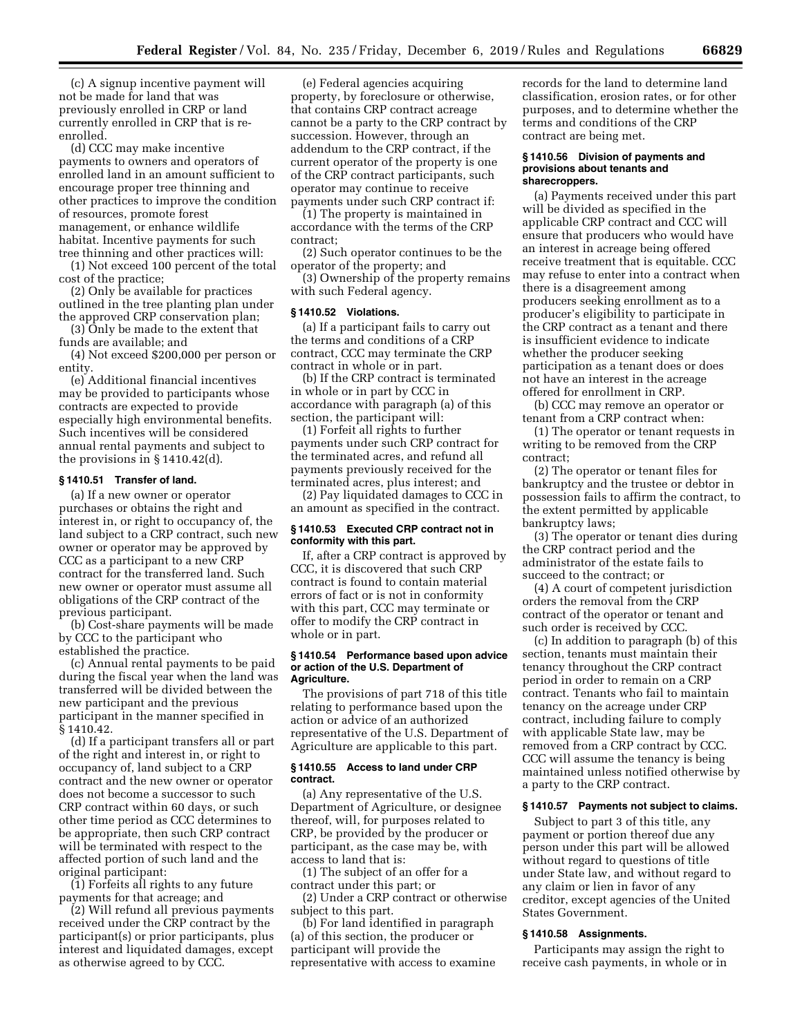(c) A signup incentive payment will not be made for land that was previously enrolled in CRP or land currently enrolled in CRP that is reenrolled.

(d) CCC may make incentive payments to owners and operators of enrolled land in an amount sufficient to encourage proper tree thinning and other practices to improve the condition of resources, promote forest management, or enhance wildlife habitat. Incentive payments for such tree thinning and other practices will:

(1) Not exceed 100 percent of the total cost of the practice;

(2) Only be available for practices outlined in the tree planting plan under the approved CRP conservation plan;

(3) Only be made to the extent that funds are available; and

(4) Not exceed \$200,000 per person or entity.

(e) Additional financial incentives may be provided to participants whose contracts are expected to provide especially high environmental benefits. Such incentives will be considered annual rental payments and subject to the provisions in § 1410.42(d).

## **§ 1410.51 Transfer of land.**

(a) If a new owner or operator purchases or obtains the right and interest in, or right to occupancy of, the land subject to a CRP contract, such new owner or operator may be approved by CCC as a participant to a new CRP contract for the transferred land. Such new owner or operator must assume all obligations of the CRP contract of the previous participant.

(b) Cost-share payments will be made by CCC to the participant who established the practice.

(c) Annual rental payments to be paid during the fiscal year when the land was transferred will be divided between the new participant and the previous participant in the manner specified in § 1410.42.

(d) If a participant transfers all or part of the right and interest in, or right to occupancy of, land subject to a CRP contract and the new owner or operator does not become a successor to such CRP contract within 60 days, or such other time period as CCC determines to be appropriate, then such CRP contract will be terminated with respect to the affected portion of such land and the original participant:

(1) Forfeits all rights to any future payments for that acreage; and

(2) Will refund all previous payments received under the CRP contract by the participant(s) or prior participants, plus interest and liquidated damages, except as otherwise agreed to by CCC.

(e) Federal agencies acquiring property, by foreclosure or otherwise, that contains CRP contract acreage cannot be a party to the CRP contract by succession. However, through an addendum to the CRP contract, if the current operator of the property is one of the CRP contract participants, such operator may continue to receive payments under such CRP contract if:

(1) The property is maintained in accordance with the terms of the CRP contract;

(2) Such operator continues to be the operator of the property; and

(3) Ownership of the property remains with such Federal agency.

#### **§ 1410.52 Violations.**

(a) If a participant fails to carry out the terms and conditions of a CRP contract, CCC may terminate the CRP contract in whole or in part.

(b) If the CRP contract is terminated in whole or in part by CCC in accordance with paragraph (a) of this section, the participant will:

(1) Forfeit all rights to further payments under such CRP contract for the terminated acres, and refund all payments previously received for the terminated acres, plus interest; and

(2) Pay liquidated damages to CCC in an amount as specified in the contract.

## **§ 1410.53 Executed CRP contract not in conformity with this part.**

If, after a CRP contract is approved by CCC, it is discovered that such CRP contract is found to contain material errors of fact or is not in conformity with this part, CCC may terminate or offer to modify the CRP contract in whole or in part.

#### **§ 1410.54 Performance based upon advice or action of the U.S. Department of Agriculture.**

The provisions of part 718 of this title relating to performance based upon the action or advice of an authorized representative of the U.S. Department of Agriculture are applicable to this part.

## **§ 1410.55 Access to land under CRP contract.**

(a) Any representative of the U.S. Department of Agriculture, or designee thereof, will, for purposes related to CRP, be provided by the producer or participant, as the case may be, with access to land that is:

(1) The subject of an offer for a contract under this part; or

(2) Under a CRP contract or otherwise subject to this part.

(b) For land identified in paragraph (a) of this section, the producer or participant will provide the representative with access to examine records for the land to determine land classification, erosion rates, or for other purposes, and to determine whether the terms and conditions of the CRP contract are being met.

#### **§ 1410.56 Division of payments and provisions about tenants and sharecroppers.**

(a) Payments received under this part will be divided as specified in the applicable CRP contract and CCC will ensure that producers who would have an interest in acreage being offered receive treatment that is equitable. CCC may refuse to enter into a contract when there is a disagreement among producers seeking enrollment as to a producer's eligibility to participate in the CRP contract as a tenant and there is insufficient evidence to indicate whether the producer seeking participation as a tenant does or does not have an interest in the acreage offered for enrollment in CRP.

(b) CCC may remove an operator or tenant from a CRP contract when:

(1) The operator or tenant requests in writing to be removed from the CRP contract;

(2) The operator or tenant files for bankruptcy and the trustee or debtor in possession fails to affirm the contract, to the extent permitted by applicable bankruptcy laws;

(3) The operator or tenant dies during the CRP contract period and the administrator of the estate fails to succeed to the contract; or

(4) A court of competent jurisdiction orders the removal from the CRP contract of the operator or tenant and such order is received by CCC.

(c) In addition to paragraph (b) of this section, tenants must maintain their tenancy throughout the CRP contract period in order to remain on a CRP contract. Tenants who fail to maintain tenancy on the acreage under CRP contract, including failure to comply with applicable State law, may be removed from a CRP contract by CCC. CCC will assume the tenancy is being maintained unless notified otherwise by a party to the CRP contract.

## **§ 1410.57 Payments not subject to claims.**

Subject to part 3 of this title, any payment or portion thereof due any person under this part will be allowed without regard to questions of title under State law, and without regard to any claim or lien in favor of any creditor, except agencies of the United States Government.

#### **§ 1410.58 Assignments.**

Participants may assign the right to receive cash payments, in whole or in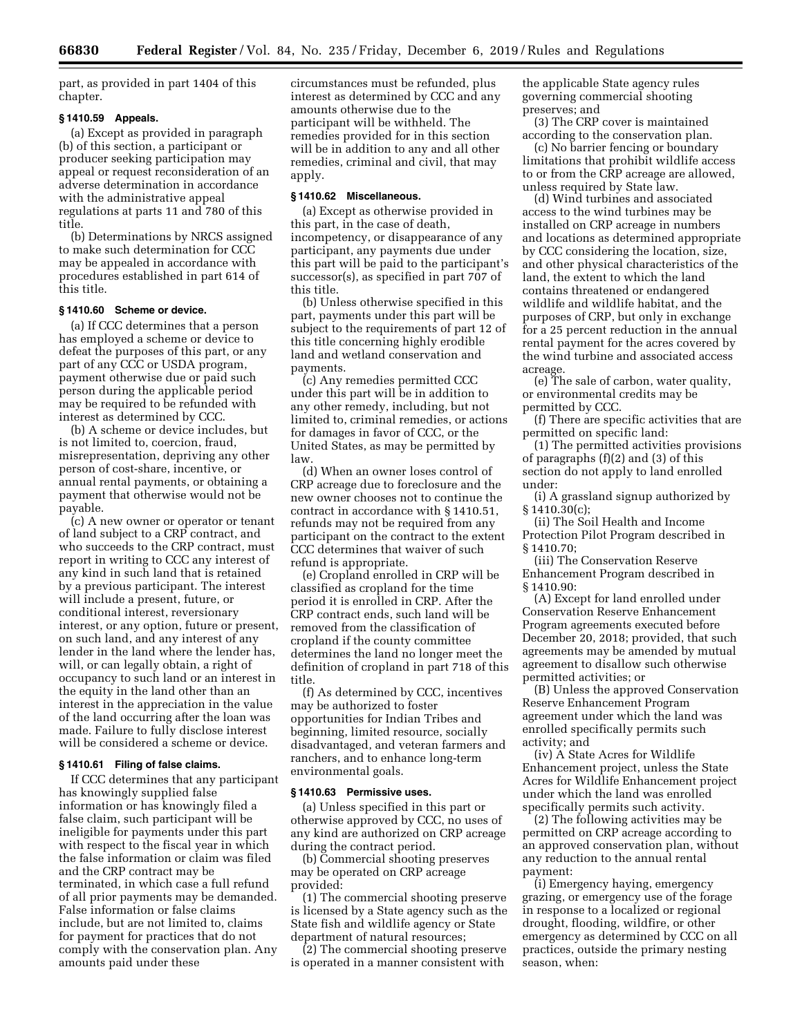part, as provided in part 1404 of this chapter.

#### **§ 1410.59 Appeals.**

(a) Except as provided in paragraph (b) of this section, a participant or producer seeking participation may appeal or request reconsideration of an adverse determination in accordance with the administrative appeal regulations at parts 11 and 780 of this title.

(b) Determinations by NRCS assigned to make such determination for CCC may be appealed in accordance with procedures established in part 614 of this title.

## **§ 1410.60 Scheme or device.**

(a) If CCC determines that a person has employed a scheme or device to defeat the purposes of this part, or any part of any CCC or USDA program, payment otherwise due or paid such person during the applicable period may be required to be refunded with interest as determined by CCC.

(b) A scheme or device includes, but is not limited to, coercion, fraud, misrepresentation, depriving any other person of cost-share, incentive, or annual rental payments, or obtaining a payment that otherwise would not be payable.

(c) A new owner or operator or tenant of land subject to a CRP contract, and who succeeds to the CRP contract, must report in writing to CCC any interest of any kind in such land that is retained by a previous participant. The interest will include a present, future, or conditional interest, reversionary interest, or any option, future or present, on such land, and any interest of any lender in the land where the lender has, will, or can legally obtain, a right of occupancy to such land or an interest in the equity in the land other than an interest in the appreciation in the value of the land occurring after the loan was made. Failure to fully disclose interest will be considered a scheme or device.

#### **§ 1410.61 Filing of false claims.**

If CCC determines that any participant has knowingly supplied false information or has knowingly filed a false claim, such participant will be ineligible for payments under this part with respect to the fiscal year in which the false information or claim was filed and the CRP contract may be terminated, in which case a full refund of all prior payments may be demanded. False information or false claims include, but are not limited to, claims for payment for practices that do not comply with the conservation plan. Any amounts paid under these

circumstances must be refunded, plus interest as determined by CCC and any amounts otherwise due to the participant will be withheld. The remedies provided for in this section will be in addition to any and all other remedies, criminal and civil, that may apply.

#### **§ 1410.62 Miscellaneous.**

(a) Except as otherwise provided in this part, in the case of death, incompetency, or disappearance of any participant, any payments due under this part will be paid to the participant's successor(s), as specified in part 707 of this title.

(b) Unless otherwise specified in this part, payments under this part will be subject to the requirements of part 12 of this title concerning highly erodible land and wetland conservation and payments.

(c) Any remedies permitted CCC under this part will be in addition to any other remedy, including, but not limited to, criminal remedies, or actions for damages in favor of CCC, or the United States, as may be permitted by law.

(d) When an owner loses control of CRP acreage due to foreclosure and the new owner chooses not to continue the contract in accordance with § 1410.51, refunds may not be required from any participant on the contract to the extent CCC determines that waiver of such refund is appropriate.

(e) Cropland enrolled in CRP will be classified as cropland for the time period it is enrolled in CRP. After the CRP contract ends, such land will be removed from the classification of cropland if the county committee determines the land no longer meet the definition of cropland in part 718 of this title.

(f) As determined by CCC, incentives may be authorized to foster opportunities for Indian Tribes and beginning, limited resource, socially disadvantaged, and veteran farmers and ranchers, and to enhance long-term environmental goals.

#### **§ 1410.63 Permissive uses.**

(a) Unless specified in this part or otherwise approved by CCC, no uses of any kind are authorized on CRP acreage during the contract period.

(b) Commercial shooting preserves may be operated on CRP acreage provided:

(1) The commercial shooting preserve is licensed by a State agency such as the State fish and wildlife agency or State department of natural resources;

(2) The commercial shooting preserve is operated in a manner consistent with

the applicable State agency rules governing commercial shooting preserves; and

(3) The CRP cover is maintained according to the conservation plan.

(c) No barrier fencing or boundary limitations that prohibit wildlife access to or from the CRP acreage are allowed, unless required by State law.

(d) Wind turbines and associated access to the wind turbines may be installed on CRP acreage in numbers and locations as determined appropriate by CCC considering the location, size, and other physical characteristics of the land, the extent to which the land contains threatened or endangered wildlife and wildlife habitat, and the purposes of CRP, but only in exchange for a 25 percent reduction in the annual rental payment for the acres covered by the wind turbine and associated access acreage.

(e) The sale of carbon, water quality, or environmental credits may be permitted by CCC.

(f) There are specific activities that are permitted on specific land:

(1) The permitted activities provisions of paragraphs (f)(2) and (3) of this section do not apply to land enrolled under:

(i) A grassland signup authorized by § 1410.30(c);

(ii) The Soil Health and Income Protection Pilot Program described in § 1410.70;

(iii) The Conservation Reserve Enhancement Program described in § 1410.90:

(A) Except for land enrolled under Conservation Reserve Enhancement Program agreements executed before December 20, 2018; provided, that such agreements may be amended by mutual agreement to disallow such otherwise permitted activities; or

(B) Unless the approved Conservation Reserve Enhancement Program agreement under which the land was enrolled specifically permits such activity; and

(iv) A State Acres for Wildlife Enhancement project, unless the State Acres for Wildlife Enhancement project under which the land was enrolled specifically permits such activity.

(2) The following activities may be permitted on CRP acreage according to an approved conservation plan, without any reduction to the annual rental payment:

(i) Emergency haying, emergency grazing, or emergency use of the forage in response to a localized or regional drought, flooding, wildfire, or other emergency as determined by CCC on all practices, outside the primary nesting season, when: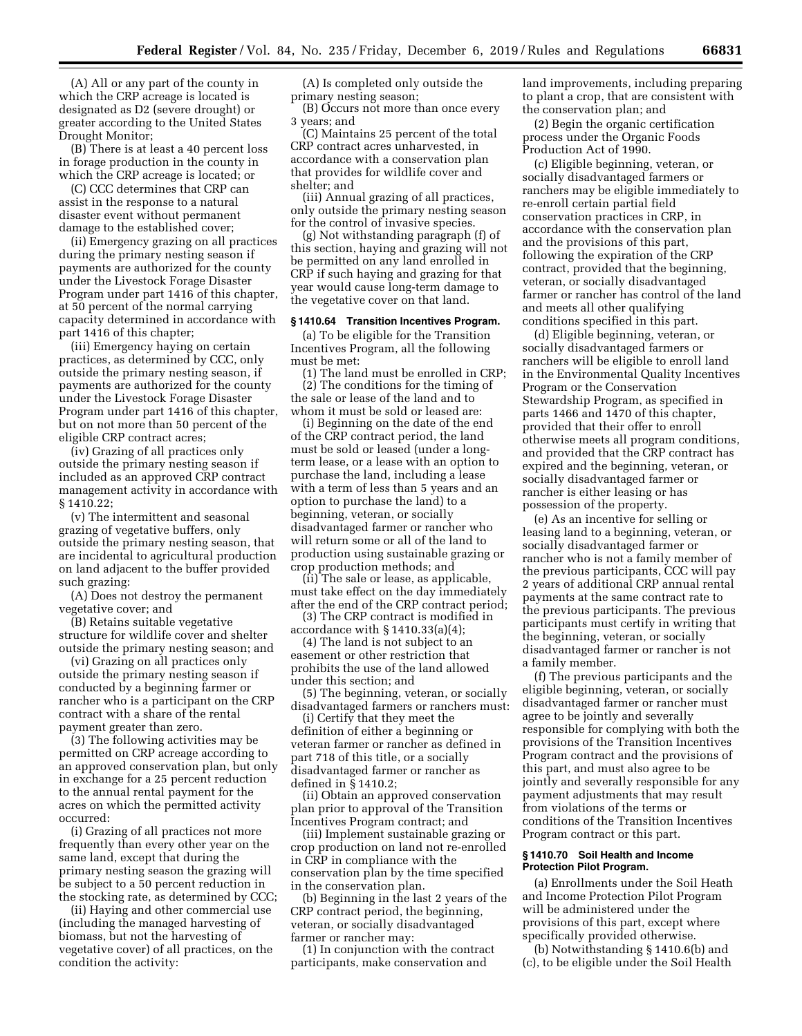(A) All or any part of the county in which the CRP acreage is located is designated as D2 (severe drought) or greater according to the United States Drought Monitor;

(B) There is at least a 40 percent loss in forage production in the county in which the CRP acreage is located; or

(C) CCC determines that CRP can assist in the response to a natural disaster event without permanent damage to the established cover;

(ii) Emergency grazing on all practices during the primary nesting season if payments are authorized for the county under the Livestock Forage Disaster Program under part 1416 of this chapter, at 50 percent of the normal carrying capacity determined in accordance with part 1416 of this chapter;

(iii) Emergency haying on certain practices, as determined by CCC, only outside the primary nesting season, if payments are authorized for the county under the Livestock Forage Disaster Program under part 1416 of this chapter, but on not more than 50 percent of the eligible CRP contract acres;

(iv) Grazing of all practices only outside the primary nesting season if included as an approved CRP contract management activity in accordance with § 1410.22;

(v) The intermittent and seasonal grazing of vegetative buffers, only outside the primary nesting season, that are incidental to agricultural production on land adjacent to the buffer provided such grazing:

(A) Does not destroy the permanent vegetative cover; and

(B) Retains suitable vegetative structure for wildlife cover and shelter outside the primary nesting season; and

(vi) Grazing on all practices only outside the primary nesting season if conducted by a beginning farmer or rancher who is a participant on the CRP contract with a share of the rental payment greater than zero.

(3) The following activities may be permitted on CRP acreage according to an approved conservation plan, but only in exchange for a 25 percent reduction to the annual rental payment for the acres on which the permitted activity occurred:

(i) Grazing of all practices not more frequently than every other year on the same land, except that during the primary nesting season the grazing will be subject to a 50 percent reduction in the stocking rate, as determined by CCC;

(ii) Haying and other commercial use (including the managed harvesting of biomass, but not the harvesting of vegetative cover) of all practices, on the condition the activity:

(A) Is completed only outside the primary nesting season;

(B) Occurs not more than once every 3 years; and

(C) Maintains 25 percent of the total CRP contract acres unharvested, in accordance with a conservation plan that provides for wildlife cover and shelter; and

(iii) Annual grazing of all practices, only outside the primary nesting season for the control of invasive species.

(g) Not withstanding paragraph (f) of this section, haying and grazing will not be permitted on any land enrolled in CRP if such haying and grazing for that year would cause long-term damage to the vegetative cover on that land.

# **§ 1410.64 Transition Incentives Program.**

(a) To be eligible for the Transition Incentives Program, all the following must be met:

(1) The land must be enrolled in CRP; (2) The conditions for the timing of the sale or lease of the land and to whom it must be sold or leased are:

(i) Beginning on the date of the end of the CRP contract period, the land must be sold or leased (under a longterm lease, or a lease with an option to purchase the land, including a lease with a term of less than 5 years and an option to purchase the land) to a beginning, veteran, or socially disadvantaged farmer or rancher who will return some or all of the land to production using sustainable grazing or crop production methods; and

(ii) The sale or lease, as applicable, must take effect on the day immediately after the end of the CRP contract period;

(3) The CRP contract is modified in accordance with § 1410.33(a)(4);

(4) The land is not subject to an easement or other restriction that prohibits the use of the land allowed under this section; and

(5) The beginning, veteran, or socially disadvantaged farmers or ranchers must:

(i) Certify that they meet the definition of either a beginning or veteran farmer or rancher as defined in part 718 of this title, or a socially disadvantaged farmer or rancher as defined in § 1410.2;

(ii) Obtain an approved conservation plan prior to approval of the Transition Incentives Program contract; and

(iii) Implement sustainable grazing or crop production on land not re-enrolled in CRP in compliance with the conservation plan by the time specified in the conservation plan.

(b) Beginning in the last 2 years of the CRP contract period, the beginning, veteran, or socially disadvantaged farmer or rancher may:

(1) In conjunction with the contract participants, make conservation and

land improvements, including preparing to plant a crop, that are consistent with the conservation plan; and

(2) Begin the organic certification process under the Organic Foods Production Act of 1990.

(c) Eligible beginning, veteran, or socially disadvantaged farmers or ranchers may be eligible immediately to re-enroll certain partial field conservation practices in CRP, in accordance with the conservation plan and the provisions of this part, following the expiration of the CRP contract, provided that the beginning, veteran, or socially disadvantaged farmer or rancher has control of the land and meets all other qualifying conditions specified in this part.

(d) Eligible beginning, veteran, or socially disadvantaged farmers or ranchers will be eligible to enroll land in the Environmental Quality Incentives Program or the Conservation Stewardship Program, as specified in parts 1466 and 1470 of this chapter, provided that their offer to enroll otherwise meets all program conditions, and provided that the CRP contract has expired and the beginning, veteran, or socially disadvantaged farmer or rancher is either leasing or has possession of the property.

(e) As an incentive for selling or leasing land to a beginning, veteran, or socially disadvantaged farmer or rancher who is not a family member of the previous participants, CCC will pay 2 years of additional CRP annual rental payments at the same contract rate to the previous participants. The previous participants must certify in writing that the beginning, veteran, or socially disadvantaged farmer or rancher is not a family member.

(f) The previous participants and the eligible beginning, veteran, or socially disadvantaged farmer or rancher must agree to be jointly and severally responsible for complying with both the provisions of the Transition Incentives Program contract and the provisions of this part, and must also agree to be jointly and severally responsible for any payment adjustments that may result from violations of the terms or conditions of the Transition Incentives Program contract or this part.

#### **§ 1410.70 Soil Health and Income Protection Pilot Program.**

(a) Enrollments under the Soil Heath and Income Protection Pilot Program will be administered under the provisions of this part, except where specifically provided otherwise.

(b) Notwithstanding § 1410.6(b) and (c), to be eligible under the Soil Health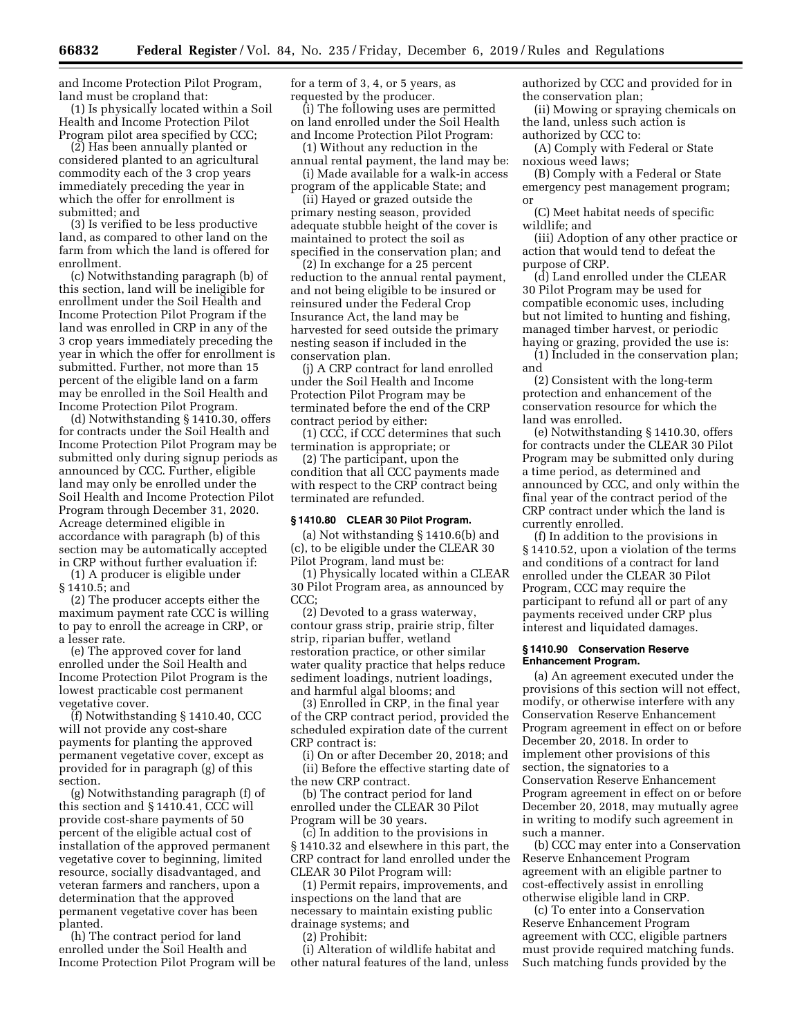and Income Protection Pilot Program, land must be cropland that:

(1) Is physically located within a Soil Health and Income Protection Pilot Program pilot area specified by CCC;

(2) Has been annually planted or considered planted to an agricultural commodity each of the 3 crop years immediately preceding the year in which the offer for enrollment is submitted; and

(3) Is verified to be less productive land, as compared to other land on the farm from which the land is offered for enrollment.

(c) Notwithstanding paragraph (b) of this section, land will be ineligible for enrollment under the Soil Health and Income Protection Pilot Program if the land was enrolled in CRP in any of the 3 crop years immediately preceding the year in which the offer for enrollment is submitted. Further, not more than 15 percent of the eligible land on a farm may be enrolled in the Soil Health and Income Protection Pilot Program.

(d) Notwithstanding § 1410.30, offers for contracts under the Soil Health and Income Protection Pilot Program may be submitted only during signup periods as announced by CCC. Further, eligible land may only be enrolled under the Soil Health and Income Protection Pilot Program through December 31, 2020. Acreage determined eligible in accordance with paragraph (b) of this section may be automatically accepted in CRP without further evaluation if:

(1) A producer is eligible under § 1410.5; and

(2) The producer accepts either the maximum payment rate CCC is willing to pay to enroll the acreage in CRP, or a lesser rate.

(e) The approved cover for land enrolled under the Soil Health and Income Protection Pilot Program is the lowest practicable cost permanent vegetative cover.

(f) Notwithstanding § 1410.40, CCC will not provide any cost-share payments for planting the approved permanent vegetative cover, except as provided for in paragraph (g) of this section.

(g) Notwithstanding paragraph (f) of this section and § 1410.41, CCC will provide cost-share payments of 50 percent of the eligible actual cost of installation of the approved permanent vegetative cover to beginning, limited resource, socially disadvantaged, and veteran farmers and ranchers, upon a determination that the approved permanent vegetative cover has been planted.

(h) The contract period for land enrolled under the Soil Health and Income Protection Pilot Program will be for a term of 3, 4, or 5 years, as requested by the producer.

(i) The following uses are permitted on land enrolled under the Soil Health and Income Protection Pilot Program:

(1) Without any reduction in the annual rental payment, the land may be:

(i) Made available for a walk-in access program of the applicable State; and

(ii) Hayed or grazed outside the primary nesting season, provided adequate stubble height of the cover is maintained to protect the soil as specified in the conservation plan; and

(2) In exchange for a 25 percent reduction to the annual rental payment, and not being eligible to be insured or reinsured under the Federal Crop Insurance Act, the land may be harvested for seed outside the primary nesting season if included in the conservation plan.

(j) A CRP contract for land enrolled under the Soil Health and Income Protection Pilot Program may be terminated before the end of the CRP contract period by either:

(1) CCC, if CCC determines that such termination is appropriate; or

(2) The participant, upon the condition that all CCC payments made with respect to the CRP contract being terminated are refunded.

#### **§ 1410.80 CLEAR 30 Pilot Program.**

(a) Not withstanding § 1410.6(b) and (c), to be eligible under the CLEAR 30 Pilot Program, land must be:

(1) Physically located within a CLEAR 30 Pilot Program area, as announced by CCC;

(2) Devoted to a grass waterway, contour grass strip, prairie strip, filter strip, riparian buffer, wetland restoration practice, or other similar water quality practice that helps reduce sediment loadings, nutrient loadings, and harmful algal blooms; and

(3) Enrolled in CRP, in the final year of the CRP contract period, provided the scheduled expiration date of the current CRP contract is:

(i) On or after December 20, 2018; and (ii) Before the effective starting date of the new CRP contract.

(b) The contract period for land enrolled under the CLEAR 30 Pilot Program will be 30 years.

(c) In addition to the provisions in § 1410.32 and elsewhere in this part, the CRP contract for land enrolled under the CLEAR 30 Pilot Program will:

(1) Permit repairs, improvements, and inspections on the land that are necessary to maintain existing public drainage systems; and

(2) Prohibit:

(i) Alteration of wildlife habitat and other natural features of the land, unless authorized by CCC and provided for in the conservation plan;

(ii) Mowing or spraying chemicals on the land, unless such action is authorized by CCC to:

(A) Comply with Federal or State noxious weed laws;

(B) Comply with a Federal or State emergency pest management program; or

(C) Meet habitat needs of specific wildlife; and

(iii) Adoption of any other practice or action that would tend to defeat the purpose of CRP.

(d) Land enrolled under the CLEAR 30 Pilot Program may be used for compatible economic uses, including but not limited to hunting and fishing, managed timber harvest, or periodic haying or grazing, provided the use is:

(1) Included in the conservation plan; and

(2) Consistent with the long-term protection and enhancement of the conservation resource for which the land was enrolled.

(e) Notwithstanding § 1410.30, offers for contracts under the CLEAR 30 Pilot Program may be submitted only during a time period, as determined and announced by CCC, and only within the final year of the contract period of the CRP contract under which the land is currently enrolled.

(f) In addition to the provisions in § 1410.52, upon a violation of the terms and conditions of a contract for land enrolled under the CLEAR 30 Pilot Program, CCC may require the participant to refund all or part of any payments received under CRP plus interest and liquidated damages.

### **§ 1410.90 Conservation Reserve Enhancement Program.**

(a) An agreement executed under the provisions of this section will not effect, modify, or otherwise interfere with any Conservation Reserve Enhancement Program agreement in effect on or before December 20, 2018. In order to implement other provisions of this section, the signatories to a Conservation Reserve Enhancement Program agreement in effect on or before December 20, 2018, may mutually agree in writing to modify such agreement in such a manner.

(b) CCC may enter into a Conservation Reserve Enhancement Program agreement with an eligible partner to cost-effectively assist in enrolling otherwise eligible land in CRP.

(c) To enter into a Conservation Reserve Enhancement Program agreement with CCC, eligible partners must provide required matching funds. Such matching funds provided by the